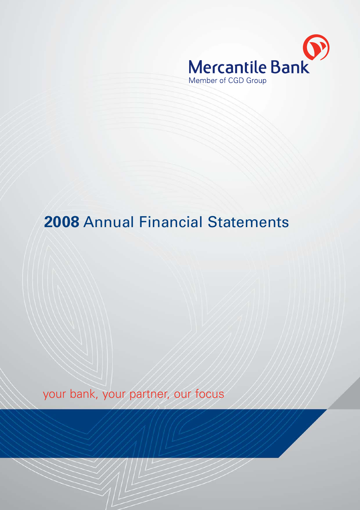

# **2008** Annual Financial Statements

your bank, your partner, our focus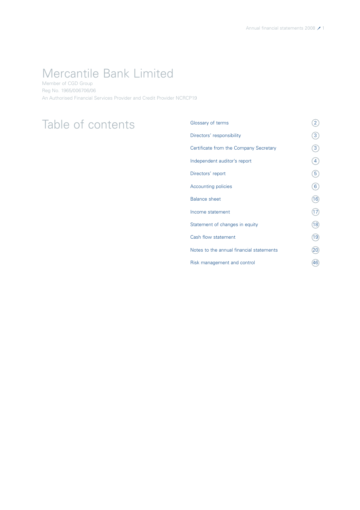## Mercantile Bank Limited

Member of CGD Group Reg No. 1965/006706/06 An Authorised Financial Services Provider and Credit Provider NCRCP19

## Table of contents Gloss

| Glossary of terms                        | 2  |
|------------------------------------------|----|
| Directors' responsibility                | 3  |
| Certificate from the Company Secretary   | 3  |
| Independent auditor's report             | 4  |
| Directors' report                        | 5  |
| Accounting policies                      | 6  |
| <b>Balance sheet</b>                     | 16 |
| Income statement                         | 17 |
| Statement of changes in equity           | 18 |
| Cash flow statement                      | 19 |
| Notes to the annual financial statements | 20 |
| Risk management and control              | 46 |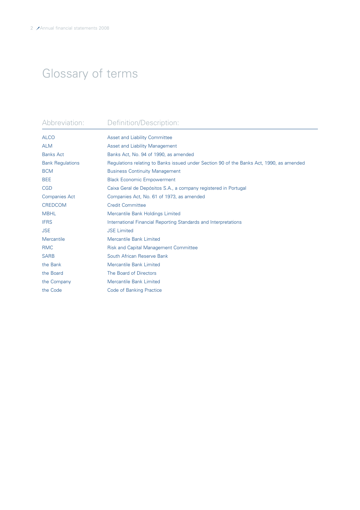# Glossary of terms

| Abbreviation:           | Definition/Description:                                                                  |
|-------------------------|------------------------------------------------------------------------------------------|
| <b>ALCO</b>             | Asset and Liability Committee                                                            |
| <b>ALM</b>              | Asset and Liability Management                                                           |
| <b>Banks Act</b>        | Banks Act, No. 94 of 1990, as amended                                                    |
| <b>Bank Regulations</b> | Regulations relating to Banks issued under Section 90 of the Banks Act, 1990, as amended |
| <b>BCM</b>              | <b>Business Continuity Management</b>                                                    |
| <b>BEE</b>              | <b>Black Economic Empowerment</b>                                                        |
| <b>CGD</b>              | Caixa Geral de Depósitos S.A., a company registered in Portugal                          |
| <b>Companies Act</b>    | Companies Act, No. 61 of 1973, as amended                                                |
| CREDCOM                 | <b>Credit Committee</b>                                                                  |
| <b>MBHL</b>             | Mercantile Bank Holdings Limited                                                         |
| <b>IFRS</b>             | International Financial Reporting Standards and Interpretations                          |
| <b>JSE</b>              | <b>JSE Limited</b>                                                                       |
| Mercantile              | <b>Mercantile Bank Limited</b>                                                           |
| <b>RMC</b>              | <b>Risk and Capital Management Committee</b>                                             |
| <b>SARB</b>             | South African Reserve Bank                                                               |
| the Bank                | <b>Mercantile Bank Limited</b>                                                           |
| the Board               | The Board of Directors                                                                   |
| the Company             | Mercantile Bank Limited                                                                  |
| the Code                | Code of Banking Practice                                                                 |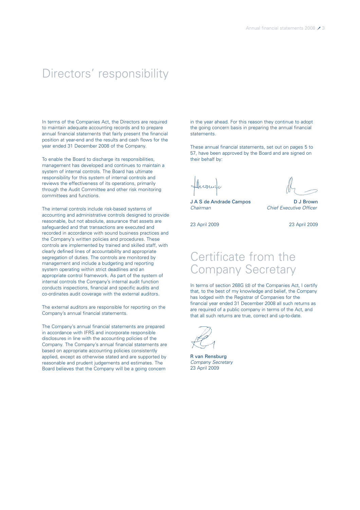### Directors' responsibility

In terms of the Companies Act, the Directors are required to maintain adequate accounting records and to prepare annual financial statements that fairly present the financial position at year-end and the results and cash flows for the year ended 31 December 2008 of the Company.

To enable the Board to discharge its responsibilities, management has developed and continues to maintain a system of internal controls. The Board has ultimate responsibility for this system of internal controls and reviews the effectiveness of its operations, primarily through the Audit Committee and other risk monitoring committees and functions.

The internal controls include risk-based systems of accounting and administrative controls designed to provide reasonable, but not absolute, assurance that assets are safeguarded and that transactions are executed and recorded in accordance with sound business practices and the Company's written policies and procedures. These controls are implemented by trained and skilled staff, with clearly defined lines of accountability and appropriate segregation of duties. The controls are monitored by management and include a budgeting and reporting system operating within strict deadlines and an appropriate control framework. As part of the system of internal controls the Company's internal audit function conducts inspections, financial and specific audits and co-ordinates audit coverage with the external auditors.

The external auditors are responsible for reporting on the Company's annual financial statements.

The Company's annual financial statements are prepared in accordance with IFRS and incorporate responsible disclosures in line with the accounting policies of the Company. The Company's annual financial statements are based on appropriate accounting policies consistently applied, except as otherwise stated and are supported by reasonable and prudent judgements and estimates. The Board believes that the Company will be a going concern

in the year ahead. For this reason they continue to adopt the going concern basis in preparing the annual financial statements.

These annual financial statements, set out on pages 5 to 57, have been approved by the Board and are signed on their behalf by:

J A S de Andrade Campos D J Brown Chairman Chief Executive Officer

23 April 2009 23 April 2009

## Certificate from the Company Secretary

In terms of section 268G (d) of the Companies Act, I certify that, to the best of my knowledge and belief, the Company has lodged with the Registrar of Companies for the financial year ended 31 December 2008 all such returns as are required of a public company in terms of the Act, and that all such returns are true, correct and up-to-date.

R van Rensburg Company Secretary 23 April 2009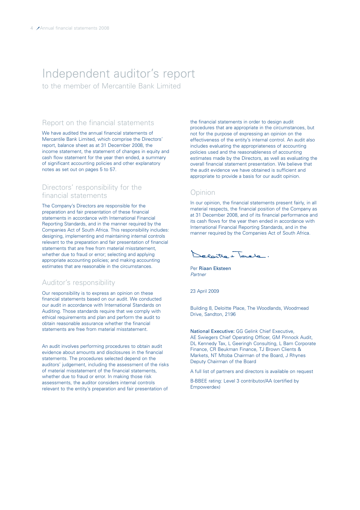### Independent auditor's report

to the member of Mercantile Bank Limited

### Report on the financial statements

We have audited the annual financial statements of Mercantile Bank Limited, which comprise the Directors' report, balance sheet as at 31 December 2008, the income statement, the statement of changes in equity and cash flow statement for the year then ended, a summary of significant accounting policies and other explanatory notes as set out on pages 5 to 57.

### Directors' responsibility for the financial statements

The Company's Directors are responsible for the preparation and fair presentation of these financial statements in accordance with International Financial Reporting Standards, and in the manner required by the Companies Act of South Africa. This responsibility includes: designing, implementing and maintaining internal controls relevant to the preparation and fair presentation of financial statements that are free from material misstatement, whether due to fraud or error; selecting and applying appropriate accounting policies; and making accounting estimates that are reasonable in the circumstances.

### Auditor's responsibility

Our responsibility is to express an opinion on these financial statements based on our audit. We conducted our audit in accordance with International Standards on Auditing. Those standards require that we comply with ethical requirements and plan and perform the audit to obtain reasonable assurance whether the financial statements are free from material misstatement.

An audit involves performing procedures to obtain audit evidence about amounts and disclosures in the financial statements. The procedures selected depend on the auditors' judgement, including the assessment of the risks of material misstatement of the financial statements, whether due to fraud or error. In making those risk assessments, the auditor considers internal controls relevant to the entity's preparation and fair presentation of

the financial statements in order to design audit procedures that are appropriate in the circumstances, but not for the purpose of expressing an opinion on the effectiveness of the entity's internal control. An audit also includes evaluating the appropriateness of accounting policies used and the reasonableness of accounting estimates made by the Directors, as well as evaluating the overall financial statement presentation. We believe that the audit evidence we have obtained is sufficient and appropriate to provide a basis for our audit opinion.

### **Opinion**

In our opinion, the financial statements present fairly, in all material respects, the financial position of the Company as at 31 December 2008, and of its financial performance and its cash flows for the year then ended in accordance with International Financial Reporting Standards, and in the manner required by the Companies Act of South Africa.

Decente - Tarela.

Per Riaan Eksteen Partner

23 April 2009

Building 8, Deloitte Place, The Woodlands, Woodmead Drive, Sandton, 2196

National Executive: GG Gelink Chief Executive, AE Swiegers Chief Operating Officer, GM Pinnock Audit, DL Kennedy Tax, L Geeringh Consulting, L Bam Corporate Finance, CR Beukman Finance, TJ Brown Clients & Markets, NT Mtoba Chairman of the Board, J Rhynes Deputy Chairman of the Board

A full list of partners and directors is available on request

B-BBEE rating: Level 3 contributor/AA (certified by Empowerdex)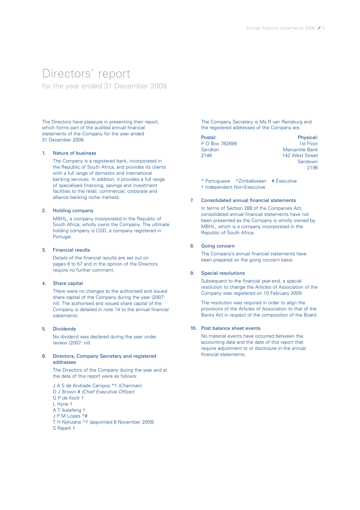## Directors' report

for the year ended 31 December 2008

The Directors have pleasure in presenting their report, which forms part of the audited annual financial statements of the Company for the year ended 31 December 2008.

#### 1. Nature of business

The Company is a registered bank, incorporated in the Republic of South Africa, and provides its clients with a full range of domestic and international banking services. In addition, it provides a full range of specialised financing, savings and investment facilities to the retail, commercial, corporate and alliance banking niche markets.

### 2. Holding company

MBHL, a company incorporated in the Republic of South Africa, wholly owns the Company. The ultimate holding company is CGD, a company registered in Portugal

### 3. Financial results

Details of the financial results are set out on pages 6 to 57 and in the opinion of the Directors require no further comment.

### 4. Share capital

There were no changes to the authorised and issued share capital of the Company during the year (2007: nil). The authorised and issued share capital of the Company is detailed in note 14 to the annual financial statements.

### 5. Dividends

No dividend was declared during the year under review (2007: nil).

### 6. Directors, Company Secretary and registered addresses

The Directors of the Company during the year and at the date of this report were as follows:

J A S de Andrade Campos \*† (Chairman) D J Brown # (Chief Executive Officer) G P de Kock † L Hyne † A T Ikalafeng † J P M Lopes \*# T H Njikizana ^† (appointed 6 November 2008) S Rapeti †

The Company Secretary is Ms R van Rensburg and the registered addresses of the Company are:

| Postal:        | Physical:              |
|----------------|------------------------|
| P O Box 782699 | 1st Floor              |
| Sandton        | <b>Mercantile Bank</b> |
| 2146           | 142 West Street        |
|                | Sandown                |
|                | 2196                   |

\* Portuguese ^Zimbabwean # Executive † Independent Non-Executive

#### 7. Consolidated annual financial statements

In terms of Section 288 of the Companies Act, consolidated annual financial statements have not been presented as the Company is wholly owned by MBHL, which is a company incorporated in the Republic of South Africa.

### 8. Going concern

The Company's annual financial statements have been prepared on the going concern basis.

#### 9. Special resolutions

Subsequent to the financial year-end, a special resolution to change the Articles of Association of the Company was registered on 10 February 2009.

The resolution was required in order to align the provisions of the Articles of Association to that of the Banks Act in respect of the composition of the Board.

### 10. Post balance sheet events

No material events have occurred between the accounting date and the date of this report that require adjustment to or disclosure in the annual financial statements.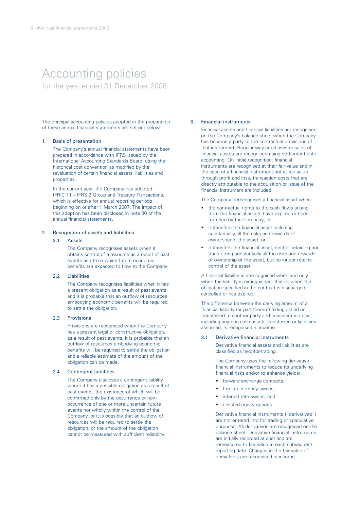for the year ended 31 December 2008

The principal accounting policies adopted in the preparation of these annual financial statements are set out below:

### 1. Basis of presentation

The Company's annual financial statements have been prepared in accordance with IFRS issued by the International Accounting Standards Board, using the historical cost convention as modified by the revaluation of certain financial assets, liabilities and properties.

In the current year, the Company has adopted IFRIC 11 – IFRS 2 Group and Treasury Transactions, which is effective for annual reporting periods beginning on or after 1 March 2007. The impact of this adoption has been disclosed in note 30 of the annual financial statements.

### 2. Recognition of assets and liabilities

### 2.1 Assets

The Company recognises assets when it obtains control of a resource as a result of past events and from which future economic benefits are expected to flow to the Company.

### 2.2 Liabilities

The Company recognises liabilities when it has a present obligation as a result of past events and it is probable that an outflow of resources embodying economic benefits will be required to settle the obligation.

### 2.3 Provisions

Provisions are recognised when the Company has a present legal or constructive obligation, as a result of past events, it is probable that an outflow of resources embodying economic benefits will be required to settle the obligation and a reliable estimate of the amount of the obligation can be made.

### 2.4 Contingent liabilities

The Company discloses a contingent liability where it has a possible obligation as a result of past events, the existence of which will be confirmed only by the occurrence or nonoccurrence of one or more uncertain future events not wholly within the control of the Company, or it is possible that an outflow of resources will be required to settle the obligation, or the amount of the obligation cannot be measured with sufficient reliability.

### 3. Financial instruments

Financial assets and financial liabilities are recognised on the Company's balance sheet when the Company has become a party to the contractual provisions of that instrument. Regular way purchases or sales of financial assets are recognised using settlement date accounting. On initial recognition, financial instruments are recognised at their fair value and in the case of a financial instrument not at fair value through profit and loss, transaction costs that are directly attributable to the acquisition or issue of the financial instrument are included.

The Company derecognises a financial asset when:

- the contractual rights to the cash flows arising from the financial assets have expired or been forfeited by the Company; or
- it transfers the financial asset including substantially all the risks and rewards of ownership of the asset; or
- it transfers the financial asset, neither retaining nor transferring substantially all the risks and rewards of ownership of the asset, but no longer retains control of the asset.

A financial liability is derecognised when and only when the liability is extinguished, that is, when the obligation specified in the contract is discharged, cancelled or has expired.

The difference between the carrying amount of a financial liability (or part thereof) extinguished or transferred to another party and consideration paid, including any non-cash assets transferred or liabilities assumed, is recognised in income.

### 3.1 Derivative financial instruments

Derivative financial assets and liabilities are classified as held-for-trading.

The Company uses the following derivative financial instruments to reduce its underlying financial risks and/or to enhance yields:

- forward exchange contracts;
- foreign currency swaps;
- interest rate swaps; and
- unlisted equity options.

Derivative financial instruments ("derivatives") are not entered into for trading or speculative purposes. All derivatives are recognised on the balance sheet. Derivative financial instruments are initially recorded at cost and are remeasured to fair value at each subsequent reporting date. Changes in the fair value of derivatives are recognised in income.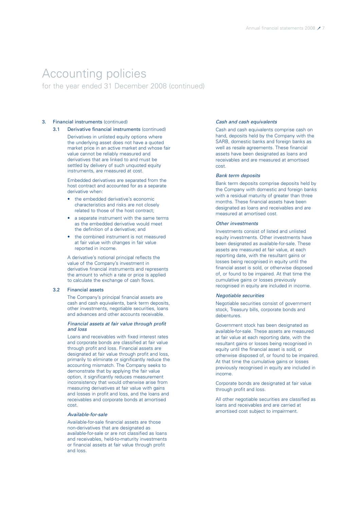for the year ended 31 December 2008 (continued)

### 3. Financial instruments (continued)

#### 3.1 Derivative financial instruments (continued)

Derivatives in unlisted equity options where the underlying asset does not have a quoted market price in an active market and whose fair value cannot be reliably measured and derivatives that are linked to and must be settled by delivery of such unquoted equity instruments, are measured at cost.

Embedded derivatives are separated from the host contract and accounted for as a separate derivative when:

- the embedded derivative's economic characteristics and risks are not closely related to those of the host contract;
- a separate instrument with the same terms as the embedded derivative would meet the definition of a derivative; and
- the combined instrument is not measured at fair value with changes in fair value reported in income.

A derivative's notional principal reflects the value of the Company's investment in derivative financial instruments and represents the amount to which a rate or price is applied to calculate the exchange of cash flows.

### 3.2 Financial assets

The Company's principal financial assets are cash and cash equivalents, bank term deposits, other investments, negotiable securities, loans and advances and other accounts receivable.

#### Financial assets at fair value through profit and loss

Loans and receivables with fixed interest rates and corporate bonds are classified at fair value through profit and loss. Financial assets are designated at fair value through profit and loss, primarily to eliminate or significantly reduce the accounting mismatch. The Company seeks to demonstrate that by applying the fair value option, it significantly reduces measurement inconsistency that would otherwise arise from measuring derivatives at fair value with gains and losses in profit and loss, and the loans and receivables and corporate bonds at amortised cost.

### Available-for-sale

Available-for-sale financial assets are those non-derivatives that are designated as available-for-sale or are not classified as loans and receivables, held-to-maturity investments or financial assets at fair value through profit and loss.

#### Cash and cash equivalents

Cash and cash equivalents comprise cash on hand, deposits held by the Company with the SARB, domestic banks and foreign banks as well as resale agreements. These financial assets have been designated as loans and receivables and are measured at amortised cost.

### Bank term deposits

Bank term deposits comprise deposits held by the Company with domestic and foreign banks with a residual maturity of greater than three months. These financial assets have been designated as loans and receivables and are measured at amortised cost.

### Other investments

Investments consist of listed and unlisted equity investments. Other investments have been designated as available-for-sale. These assets are measured at fair value, at each reporting date, with the resultant gains or losses being recognised in equity until the financial asset is sold, or otherwise disposed of, or found to be impaired. At that time the cumulative gains or losses previously recognised in equity are included in income.

### Negotiable securities

Negotiable securities consist of government stock, Treasury bills, corporate bonds and debentures.

Government stock has been designated as available-for-sale. These assets are measured at fair value at each reporting date, with the resultant gains or losses being recognised in equity until the financial asset is sold, or otherwise disposed of, or found to be impaired. At that time the cumulative gains or losses previously recognised in equity are included in income.

Corporate bonds are designated at fair value through profit and loss.

All other negotiable securities are classified as loans and receivables and are carried at amortised cost subject to impairment.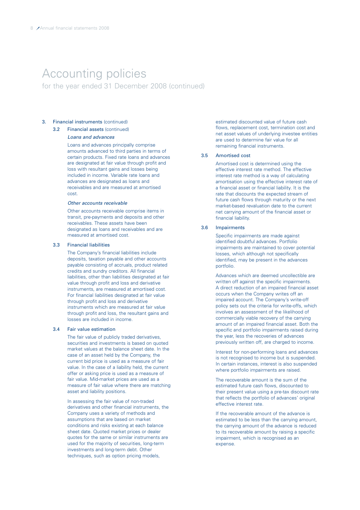for the year ended 31 December 2008 (continued)

### 3. Financial instruments (continued)

### 3.2 Financial assets (continued)

#### Loans and advances

Loans and advances principally comprise amounts advanced to third parties in terms of certain products. Fixed rate loans and advances are designated at fair value through profit and loss with resultant gains and losses being included in income. Variable rate loans and advances are designated as loans and receivables and are measured at amortised cost.

### Other accounts receivable

Other accounts receivable comprise items in transit, pre-payments and deposits and other receivables. These assets have been designated as loans and receivables and are measured at amortised cost.

#### 3.3 Financial liabilities

The Company's financial liabilities include deposits, taxation payable and other accounts payable consisting of accruals, product related credits and sundry creditors. All financial liabilities, other than liabilities designated at fair value through profit and loss and derivative instruments, are measured at amortised cost. For financial liabilities designated at fair value through profit and loss and derivative instruments which are measured at fair value through profit and loss, the resultant gains and losses are included in income.

### 3.4 Fair value estimation

The fair value of publicly traded derivatives, securities and investments is based on quoted market values at the balance sheet date. In the case of an asset held by the Company, the current bid price is used as a measure of fair value. In the case of a liability held, the current offer or asking price is used as a measure of fair value. Mid-market prices are used as a measure of fair value where there are matching asset and liability positions.

In assessing the fair value of non-traded derivatives and other financial instruments, the Company uses a variety of methods and assumptions that are based on market conditions and risks existing at each balance sheet date. Quoted market prices or dealer quotes for the same or similar instruments are used for the majority of securities, long-term investments and long-term debt. Other techniques, such as option pricing models,

estimated discounted value of future cash flows, replacement cost, termination cost and net asset values of underlying investee entities are used to determine fair value for all remaining financial instruments.

### 3.5 Amortised cost

Amortised cost is determined using the effective interest rate method. The effective interest rate method is a way of calculating amortisation using the effective interest rate of a financial asset or financial liability. It is the rate that discounts the expected stream of future cash flows through maturity or the next market-based revaluation date to the current net carrying amount of the financial asset or financial liability.

### 3.6 Impairments

Specific impairments are made against identified doubtful advances. Portfolio impairments are maintained to cover potential losses, which although not specifically identified, may be present in the advances portfolio.

Advances which are deemed uncollectible are written off against the specific impairments. A direct reduction of an impaired financial asset occurs when the Company writes off an impaired account. The Company's write-off policy sets out the criteria for write-offs, which involves an assessment of the likelihood of commercially viable recovery of the carrying amount of an impaired financial asset. Both the specific and portfolio impairments raised during the year, less the recoveries of advances previously written off, are charged to income.

Interest for non-performing loans and advances is not recognised to income but is suspended. In certain instances, interest is also suspended where portfolio impairments are raised.

The recoverable amount is the sum of the estimated future cash flows, discounted to their present value using a pre-tax discount rate that reflects the portfolio of advances' original effective interest rate.

If the recoverable amount of the advance is estimated to be less than the carrying amount, the carrying amount of the advance is reduced to its recoverable amount by raising a specific impairment, which is recognised as an expense.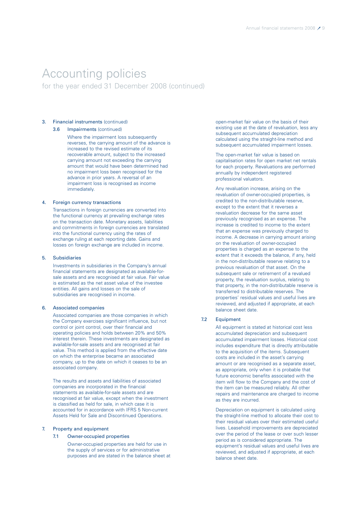for the year ended 31 December 2008 (continued)

### 3. Financial instruments (continued)

### 3.6 Impairments (continued)

Where the impairment loss subsequently reverses, the carrying amount of the advance is increased to the revised estimate of its recoverable amount, subject to the increased carrying amount not exceeding the carrying amount that would have been determined had no impairment loss been recognised for the advance in prior years. A reversal of an impairment loss is recognised as income immediately.

### 4. Foreign currency transactions

Transactions in foreign currencies are converted into the functional currency at prevailing exchange rates on the transaction date. Monetary assets, liabilities and commitments in foreign currencies are translated into the functional currency using the rates of exchange ruling at each reporting date. Gains and losses on foreign exchange are included in income.

#### 5. Subsidiaries

Investments in subsidiaries in the Company's annual financial statements are designated as available-forsale assets and are recognised at fair value. Fair value is estimated as the net asset value of the investee entities. All gains and losses on the sale of subsidiaries are recognised in income.

### 6. Associated companies

Associated companies are those companies in which the Company exercises significant influence, but not control or joint control, over their financial and operating policies and holds between 20% and 50% interest therein. These investments are designated as available-for-sale assets and are recognised at fair value. This method is applied from the effective date on which the enterprise became an associated company, up to the date on which it ceases to be an associated company.

The results and assets and liabilities of associated companies are incorporated in the financial statements as available-for-sale assets and are recognised at fair value, except when the investment is classified as held for sale, in which case it is accounted for in accordance with IFRS 5 Non-current Assets Held for Sale and Discontinued Operations.

### 7. Property and equipment

### 7.1 Owner-occupied properties

Owner-occupied properties are held for use in the supply of services or for administrative purposes and are stated in the balance sheet at open-market fair value on the basis of their existing use at the date of revaluation, less any subsequent accumulated depreciation calculated using the straight-line method and subsequent accumulated impairment losses.

The open-market fair value is based on capitalisation rates for open market net rentals for each property. Revaluations are performed annually by independent registered professional valuators.

Any revaluation increase, arising on the revaluation of owner-occupied properties, is credited to the non-distributable reserve, except to the extent that it reverses a revaluation decrease for the same asset previously recognised as an expense. The increase is credited to income to the extent that an expense was previously charged to income. A decrease in carrying amount arising on the revaluation of owner-occupied properties is charged as an expense to the extent that it exceeds the balance, if any, held in the non-distributable reserve relating to a previous revaluation of that asset. On the subsequent sale or retirement of a revalued property, the revaluation surplus, relating to that property, in the non-distributable reserve is transferred to distributable reserves. The properties' residual values and useful lives are reviewed, and adjusted if appropriate, at each balance sheet date.

### 7.2 Equipment

All equipment is stated at historical cost less accumulated depreciation and subsequent accumulated impairment losses. Historical cost includes expenditure that is directly attributable to the acquisition of the items. Subsequent costs are included in the asset's carrying amount or are recognised as a separate asset, as appropriate, only when it is probable that future economic benefits associated with the item will flow to the Company and the cost of the item can be measured reliably. All other repairs and maintenance are charged to income as they are incurred.

Depreciation on equipment is calculated using the straight-line method to allocate their cost to their residual values over their estimated useful lives. Leasehold improvements are depreciated over the period of the lease or over such lesser period as is considered appropriate. The equipment's residual values and useful lives are reviewed, and adjusted if appropriate, at each balance sheet date.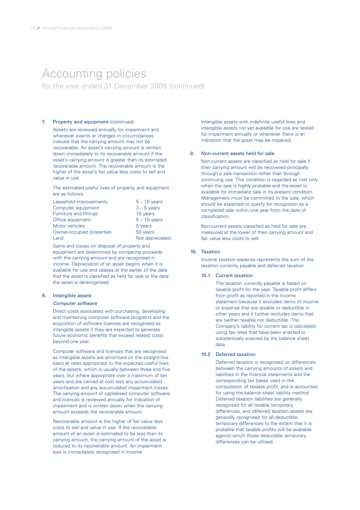for the year ended 31 December 2008 (continued)

### 7. Property and equipment (continued)

Assets are reviewed annually for impairment and whenever events or changes in circumstances indicate that the carrying amount may not be recoverable. An asset's carrying amount is written down immediately to its recoverable amount if the asset's carrying amount is greater than its estimated recoverable amount. The recoverable amount is the higher of the asset's fair value less costs to sell and value in use.

The estimated useful lives of property and equipment are as follows:

| Leasehold improvements    | $5 - 10$ years  |
|---------------------------|-----------------|
| Computer equipment        | $3 - 5$ years   |
| Furniture and fittings    | 10 years        |
| Office equipment          | $5 - 10$ years  |
| Motor vehicles            | 5 years         |
| Owner-occupied properties | 50 years        |
| Land                      | Not depreciated |

Gains and losses on disposal of property and equipment are determined by comparing proceeds with the carrying amount and are recognised in income. Depreciation of an asset begins when it is available for use and ceases at the earlier of the date that the asset is classified as held for sale or the date the asset is derecognised.

### 8. Intangible assets

### Computer software

Direct costs associated with purchasing, developing and maintaining computer software programs and the acquisition of software licences are recognised as intangible assets if they are expected to generate future economic benefits that exceed related costs beyond one year.

Computer software and licences that are recognised as intangible assets are amortised on the straight-line basis at rates appropriate to the expected useful lives of the assets, which is usually between three and five years, but where appropriate over a maximum of ten years and are carried at cost less any accumulated amortisation and any accumulated impairment losses. The carrying amount of capitalised computer software and licences is reviewed annually for indication of impairment and is written down when the carrying amount exceeds the recoverable amount.

Recoverable amount is the higher of fair value less costs to sell and value in use. If the recoverable amount of an asset is estimated to be less than its carrying amount, the carrying amount of the asset is reduced to its recoverable amount. An impairment loss is immediately recognised in income.

Intangible assets with indefinite useful lives and intangible assets not yet available for use are tested for impairment annually or whenever there is an indication that the asset may be impaired.

### 9. Non-current assets held for sale

Non-current assets are classified as held for sale if their carrying amount will be recovered principally through a sale transaction rather than through continuing use. This condition is regarded as met only when the sale is highly probable and the asset is available for immediate sale in its present condition. Management must be committed to the sale, which should be expected to qualify for recognition as a completed sale within one year from the date of classification.

Non-current assets classified as held for sale are measured at the lower of their carrying amount and fair value less costs to sell.

### 10. Taxation

Income taxation expense represents the sum of the taxation currently payable and deferred taxation.

### 10.1 Current taxation

The taxation currently payable is based on taxable profit for the year. Taxable profit differs from profit as reported in the income statement because it excludes items of income or expense that are taxable or deductible in other years and it further excludes items that are neither taxable nor deductible. The Company's liability for current tax is calculated using tax rates that have been enacted or substantively enacted by the balance sheet date.

### 10.2 Deferred taxation

Deferred taxation is recognised on differences between the carrying amounts of assets and liabilities in the financial statements and the corresponding tax bases used in the computation of taxable profit, and is accounted for using the balance sheet liability method. Deferred taxation liabilities are generally recognised for all taxable temporary differences, and deferred taxation assets are generally recognised for all deductible temporary differences to the extent that it is probable that taxable profits will be available against which those deductible temporary differences can be utilised.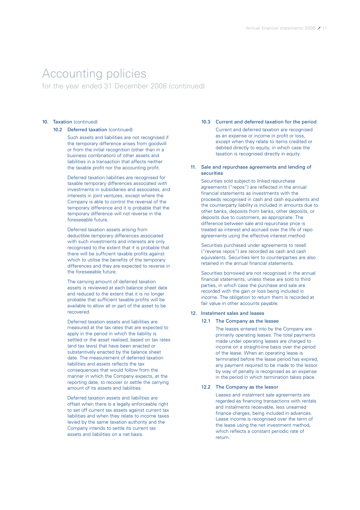for the year ended 31 December 2008 (continued)

### 10. Taxation (continued)

### 10.2 Deferred taxation (continued)

Such assets and liabilities are not recognised if the temporary difference arises from goodwill or from the initial recognition (other than in a business combination) of other assets and liabilities in a transaction that affects neither the taxable profit nor the accounting profit.

Deferred taxation liabilities are recognised for taxable temporary differences associated with investments in subsidiaries and associates, and interests in joint ventures, except where the Company is able to control the reversal of the temporary difference and it is probable that the temporary difference will not reverse in the foreseeable future.

Deferred taxation assets arising from deductible temporary differences associated with such investments and interests are only recognised to the extent that it is probable that there will be sufficient taxable profits against which to utilise the benefits of the temporary differences and they are expected to reverse in the foreseeable future.

The carrying amount of deferred taxation assets is reviewed at each balance sheet date and reduced to the extent that it is no longer probable that sufficient taxable profits will be available to allow all or part of the asset to be recovered.

Deferred taxation assets and liabilities are measured at the tax rates that are expected to apply in the period in which the liability is settled or the asset realised, based on tax rates (and tax laws) that have been enacted or substantively enacted by the balance sheet date. The measurement of deferred taxation liabilities and assets reflects the tax consequences that would follow from the manner in which the Company expects, at the reporting date, to recover or settle the carrying amount of its assets and liabilities.

Deferred taxation assets and liabilities are offset when there is a legally enforceable right to set off current tax assets against current tax liabilities and when they relate to income taxes levied by the same taxation authority and the Company intends to settle its current tax assets and liabilities on a net basis.

### 10.3 Current and deferred taxation for the period Current and deferred taxation are recognised as an expense or income in profit or loss, except when they relate to items credited or debited directly to equity, in which case the

taxation is recognised directly in equity.

#### 11. Sale and repurchase agreements and lending of securities

Securities sold subject to linked repurchase agreements ("repos") are reflected in the annual financial statements as investments with the proceeds recognised in cash and cash equivalents and the counterparty liability is included in amounts due to other banks, deposits from banks, other deposits, or deposits due to customers, as appropriate. The difference between sale and repurchase price is treated as interest and accrued over the life of repo agreements using the effective interest method.

Securities purchased under agreements to resell ("reverse repos") are recorded as cash and cash equivalents. Securities lent to counterparties are also retained in the annual financial statements.

Securities borrowed are not recognised in the annual financial statements, unless these are sold to third parties, in which case the purchase and sale are recorded with the gain or loss being included in income. The obligation to return them is recorded at fair value in other accounts payable.

#### 12. Instalment sales and leases

### 12.1 The Company as the lessee

The leases entered into by the Company are primarily operating leases. The total payments made under operating leases are charged to income on a straight-line basis over the period of the lease. When an operating lease is terminated before the lease period has expired, any payment required to be made to the lessor by way of penalty is recognised as an expense in the period in which termination takes place.

### 12.2 The Company as the lessor

Leases and instalment sale agreements are regarded as financing transactions with rentals and instalments receivable, less unearned finance charges, being included in advances. Lease income is recognised over the term of the lease using the net investment method, which reflects a constant periodic rate of return.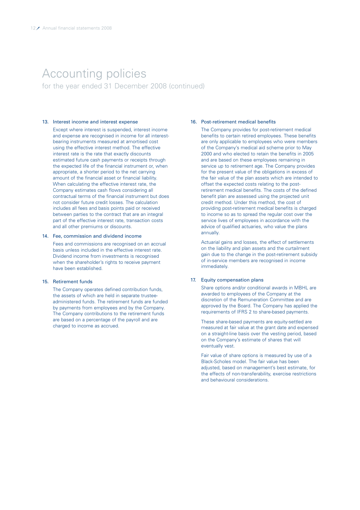for the year ended 31 December 2008 (continued)

#### 13. Interest income and interest expense

Except where interest is suspended, interest income and expense are recognised in income for all interestbearing instruments measured at amortised cost using the effective interest method. The effective interest rate is the rate that exactly discounts estimated future cash payments or receipts through the expected life of the financial instrument or, when appropriate, a shorter period to the net carrying amount of the financial asset or financial liability. When calculating the effective interest rate, the Company estimates cash flows considering all contractual terms of the financial instrument but does not consider future credit losses. The calculation includes all fees and basis points paid or received between parties to the contract that are an integral part of the effective interest rate, transaction costs and all other premiums or discounts.

### 14. Fee, commission and dividend income

Fees and commissions are recognised on an accrual basis unless included in the effective interest rate. Dividend income from investments is recognised when the shareholder's rights to receive payment have been established.

### 15. Retirement funds

The Company operates defined contribution funds, the assets of which are held in separate trusteeadministered funds. The retirement funds are funded by payments from employees and by the Company. The Company contributions to the retirement funds are based on a percentage of the payroll and are charged to income as accrued.

#### 16. Post-retirement medical benefits

The Company provides for post-retirement medical benefits to certain retired employees. These benefits are only applicable to employees who were members of the Company's medical aid scheme prior to May 2000 and who elected to retain the benefits in 2005 and are based on these employees remaining in service up to retirement age. The Company provides for the present value of the obligations in excess of the fair value of the plan assets which are intended to offset the expected costs relating to the postretirement medical benefits. The costs of the defined benefit plan are assessed using the projected unit credit method. Under this method, the cost of providing post-retirement medical benefits is charged to income so as to spread the regular cost over the service lives of employees in accordance with the advice of qualified actuaries, who value the plans annually.

Actuarial gains and losses, the effect of settlements on the liability and plan assets and the curtailment gain due to the change in the post-retirement subsidy of in-service members are recognised in income immediately.

### 17. Equity compensation plans

Share options and/or conditional awards in MBHL are awarded to employees of the Company at the discretion of the Remuneration Committee and are approved by the Board. The Company has applied the requirements of IFRS 2 to share-based payments.

These share-based payments are equity-settled are measured at fair value at the grant date and expensed on a straight-line basis over the vesting period, based on the Company's estimate of shares that will eventually vest.

Fair value of share options is measured by use of a Black-Scholes model. The fair value has been adjusted, based on management's best estimate, for the effects of non-transferability, exercise restrictions and behavioural considerations.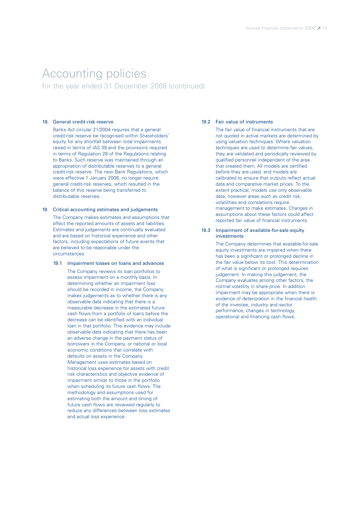for the year ended 31 December 2008 (continued)

### 18. General credit-risk reserve

Banks Act circular 21/2004 requires that a general credit-risk reserve be recognised within Shareholders' equity for any shortfall between total impairments raised in terms of IAS 39 and the provisions required in terms of Regulation 28 of the Regulations relating to Banks. Such reserve was maintained through an appropriation of distributable reserves to a general credit-risk reserve. The new Bank Regulations, which were effective 1 January 2008, no longer require general credit-risk reserves, which resulted in the balance of this reserve being transferred to distributable reserves.

### 19. Critical accounting estimates and judgements

The Company makes estimates and assumptions that affect the reported amounts of assets and liabilities. Estimates and judgements are continually evaluated and are based on historical experience and other factors, including expectations of future events that are believed to be reasonable under the circumstances.

### 19.1 Impairment losses on loans and advances

The Company reviews its loan portfolios to assess impairment on a monthly basis. In determining whether an impairment loss should be recorded in income, the Company makes judgements as to whether there is any observable data indicating that there is a measurable decrease in the estimated future cash flows from a portfolio of loans before the decrease can be identified with an individual loan in that portfolio. This evidence may include observable data indicating that there has been an adverse change in the payment status of borrowers in the Company, or national or local economic conditions that correlate with defaults on assets in the Company. Management uses estimates based on historical loss experience for assets with credit risk characteristics and objective evidence of impairment similar to those in the portfolio when scheduling its future cash flows. The methodology and assumptions used for estimating both the amount and timing of future cash flows are reviewed regularly to reduce any differences between loss estimates and actual loss experience.

### 19.2 Fair value of instruments

The fair value of financial instruments that are not quoted in active markets are determined by using valuation techniques. Where valuation techniques are used to determine fair values, they are validated and periodically reviewed by qualified personnel independent of the area that created them. All models are certified before they are used, and models are calibrated to ensure that outputs reflect actual data and comparative market prices. To the extent practical, models use only observable data, however areas such as credit risk, volatilities and correlations require management to make estimates. Changes in assumptions about these factors could affect reported fair value of financial instruments.

### 19.3 Impairment of available-for-sale equity investments

The Company determines that available-for-sale equity investments are impaired when there has been a significant or prolonged decline in the fair value below its cost. This determination of what is significant or prolonged requires judgement. In making this judgement, the Company evaluates among other factors, the normal volatility in share price. In addition impairment may be appropriate when there is evidence of deterioration in the financial health of the investee, industry and sector performance, changes in technology, operational and financing cash flows.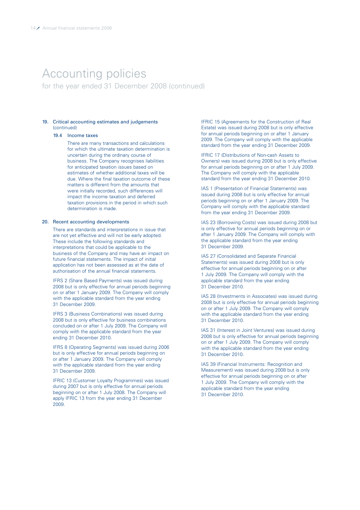for the year ended 31 December 2008 (continued)

### 19. Critical accounting estimates and judgements (continued)

### 19.4 Income taxes

There are many transactions and calculations for which the ultimate taxation determination is uncertain during the ordinary course of business. The Company recognises liabilities for anticipated taxation issues based on estimates of whether additional taxes will be due. Where the final taxation outcome of these matters is different from the amounts that were initially recorded, such differences will impact the income taxation and deferred taxation provisions in the period in which such determination is made.

### 20. Recent accounting developments

There are standards and interpretations in issue that are not yet effective and will not be early adopted. These include the following standards and interpretations that could be applicable to the business of the Company and may have an impact on future financial statements. The impact of initial application has not been assessed as at the date of authorisation of the annual financial statements.

IFRS 2 (Share Based Payments) was issued during 2008 but is only effective for annual periods beginning on or after 1 January 2009. The Company will comply with the applicable standard from the year ending 31 December 2009.

IFRS 3 (Business Combinations) was issued during 2008 but is only effective for business combinations concluded on or after 1 July 2009. The Company will comply with the applicable standard from the year ending 31 December 2010.

IFRS 8 (Operating Segments) was issued during 2006 but is only effective for annual periods beginning on or after 1 January 2009. The Company will comply with the applicable standard from the year ending 31 December 2009.

IFRIC 13 (Customer Loyalty Programmes) was issued during 2007 but is only effective for annual periods beginning on or after 1 July 2008. The Company will apply IFRIC 13 from the year ending 31 December 2009.

IFRIC 15 (Agreements for the Construction of Real Estate) was issued during 2008 but is only effective for annual periods beginning on or after 1 January 2009. The Company will comply with the applicable standard from the year ending 31 December 2009.

IFRIC 17 (Distributions of Non-cash Assets to Owners) was issued during 2008 but is only effective for annual periods beginning on or after 1 July 2009. The Company will comply with the applicable standard from the year ending 31 December 2010.

IAS 1 (Presentation of Financial Statements) was issued during 2008 but is only effective for annual periods beginning on or after 1 January 2009. The Company will comply with the applicable standard from the year ending 31 December 2009.

IAS 23 (Borrowing Costs) was issued during 2008 but is only effective for annual periods beginning on or after 1 January 2009. The Company will comply with the applicable standard from the year ending 31 December 2009.

IAS 27 (Consolidated and Separate Financial Statements) was issued during 2008 but is only effective for annual periods beginning on or after 1 July 2009. The Company will comply with the applicable standard from the year ending 31 December 2010.

IAS 28 (Investments in Associates) was issued during 2008 but is only effective for annual periods beginning on or after 1 July 2009. The Company will comply with the applicable standard from the year ending 31 December 2010.

IAS 31 (Interest in Joint Ventures) was issued during 2008 but is only effective for annual periods beginning on or after 1 July 2009. The Company will comply with the applicable standard from the year ending 31 December 2010.

IAS 39 (Financial Instruments: Recognition and Measurement) was issued during 2008 but is only effective for annual periods beginning on or after 1 July 2009. The Company will comply with the applicable standard from the year ending 31 December 2010.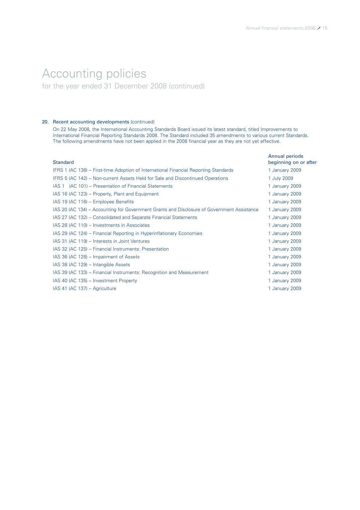for the year ended 31 December 2008 (continued)

### 20. Recent accounting developments (continued)

On 22 May 2008, the International Accounting Standards Board issued its latest standard, titled Improvements to International Financial Reporting Standards 2008. The Standard included 35 amendments to various current Standards. The following amendments have not been applied in the 2008 financial year as they are not yet effective.

| <b>Standard</b>                                                                            | Annual periods<br>beginning on or after |
|--------------------------------------------------------------------------------------------|-----------------------------------------|
| IFRS 1 (AC 138) – First-time Adoption of International Financial Reporting Standards       | 1 January 2009                          |
| IFRS 5 (AC 142) – Non-current Assets Held for Sale and Discontinued Operations             | 1 July 2009                             |
| IAS 1 (AC 101) – Presentation of Financial Statements                                      | 1 January 2009                          |
| IAS 16 (AC 123) – Property, Plant and Equipment                                            | 1 January 2009                          |
| IAS 19 (AC 116) - Employee Benefits                                                        | 1 January 2009                          |
| IAS 20 (AC 134) – Accounting for Government Grants and Disclosure of Government Assistance | 1 January 2009                          |
| IAS 27 (AC 132) – Consolidated and Separate Financial Statements                           | 1 January 2009                          |
| IAS 28 (AC 110) - Investments in Associates                                                | 1 January 2009                          |
| IAS 29 (AC 124) - Financial Reporting in Hyperinflationary Economies                       | 1 January 2009                          |
| IAS 31 (AC 119) – Interests in Joint Ventures                                              | 1 January 2009                          |
| IAS 32 (AC 125) – Financial Instruments: Presentation                                      | 1 January 2009                          |
| IAS 36 (AC 128) – Impairment of Assets                                                     | 1 January 2009                          |
| IAS 38 (AC 129) - Intangible Assets                                                        | 1 January 2009                          |
| IAS 39 (AC 133) – Financial Instruments: Recognition and Measurement                       | 1 January 2009                          |
| IAS 40 (AC 135) – Investment Property                                                      | 1 January 2009                          |
| IAS 41 (AC 137) - Agriculture                                                              | 1 January 2009                          |
|                                                                                            |                                         |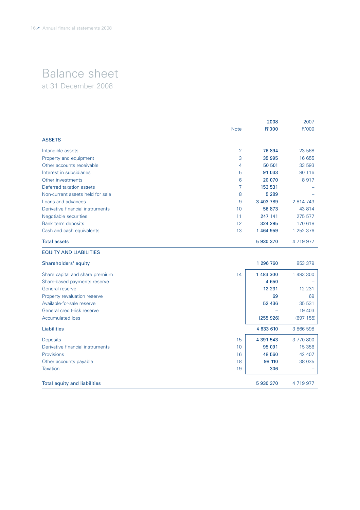### Balance sheet at 31 December 2008

|                                  |             | 2008         | 2007      |
|----------------------------------|-------------|--------------|-----------|
|                                  | <b>Note</b> | <b>R'000</b> | R'000     |
| <b>ASSETS</b>                    |             |              |           |
| Intangible assets                | 2           | 76 894       | 23 568    |
| Property and equipment           | 3           | 35 995       | 16 655    |
| Other accounts receivable        | 4           | 50 501       | 33 593    |
| Interest in subsidiaries         | 5           | 91 033       | 80 116    |
| Other investments                | 6           | 20 070       | 8917      |
| Deferred taxation assets         | 7           | 153 531      |           |
| Non-current assets held for sale | 8           | 5 2 8 9      |           |
| Loans and advances               | 9           | 3 403 789    | 2 814 743 |
| Derivative financial instruments | 10          | 56 873       | 43 814    |
| Negotiable securities            | 11          | 247 141      | 275 577   |
| Bank term deposits               | 12          | 324 295      | 170 618   |
| Cash and cash equivalents        | 13          | 1 464 959    | 1 252 376 |
|                                  |             |              |           |
| <b>Total assets</b>              |             | 5 930 370    | 4 719 977 |
| <b>EQUITY AND LIABILITIES</b>    |             |              |           |
| Shareholders' equity             |             | 1 296 760    | 853 379   |
| Share capital and share premium  | 14          | 1 483 300    | 1 483 300 |
| Share-based payments reserve     |             | 4 6 5 0      |           |
| General reserve                  |             | 12 2 3 1     | 12 2 31   |
| Property revaluation reserve     |             | 69           | 69        |
| Available-for-sale reserve       |             | 52 436       | 35 531    |
| General credit-risk reserve      |             |              | 19 403    |
| <b>Accumulated loss</b>          |             | (255926)     | (697 155) |
| <b>Liabilities</b>               |             | 4 633 610    | 3 866 598 |
| <b>Deposits</b>                  | 15          | 4 391 543    | 3770800   |
| Derivative financial instruments | 10          | 95 091       | 15 3 5 6  |
| Provisions                       | 16          | 48 560       | 42 407    |
| Other accounts payable           | 18          | 98 110       | 38 035    |

Total equity and liabilities 5 930 370 4 719 977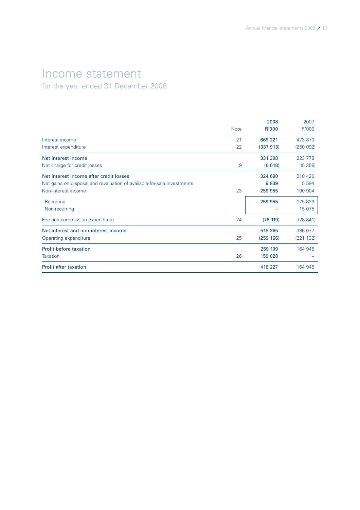### Income statement

|                                                                         |             | 2008      | 2007      |
|-------------------------------------------------------------------------|-------------|-----------|-----------|
|                                                                         | <b>Note</b> | R'000     | R'000     |
| Interest income                                                         | 21          | 669 221   | 473 870   |
| Interest expenditure                                                    | 22          | (337913)  | (250092)  |
| Net interest income                                                     |             | 331 308   | 223 778   |
| Net charge for credit losses                                            | 9           | (6618)    | (5358)    |
| Net interest income after credit losses                                 |             | 324 690   | 218 420   |
| Net gains on disposal and revaluation of available-for-sale investments |             | 9839      | 5 5 9 4   |
| Non-interest income                                                     | 23          | 259 955   | 190 904   |
| Recurring                                                               |             | 259 955   | 175 829   |
| Non-recurring                                                           |             |           | 15 0 75   |
| Fee and commission expenditure                                          | 24          | (76 119)  | (28841)   |
| Net interest and non-interest income                                    |             | 518 365   | 386 077   |
| Operating expenditure                                                   | 25          | (259 166) | (221 132) |
| <b>Profit before taxation</b>                                           |             | 259 199   | 164 945   |
| <b>Taxation</b>                                                         | 26          | 159 028   |           |
| <b>Profit after taxation</b>                                            |             | 418 227   | 164 945   |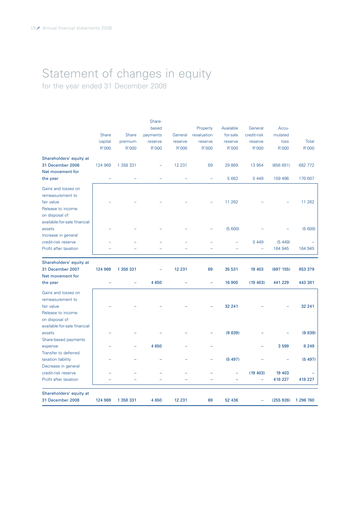## Statement of changes in equity

|                                 |              |           | Share-   |          |             |           |             |           |           |
|---------------------------------|--------------|-----------|----------|----------|-------------|-----------|-------------|-----------|-----------|
|                                 |              |           | based    |          | Property    | Available | General     | Accu-     |           |
|                                 | <b>Share</b> | Share     | payments | General  | revaluation | for-sale  | credit-risk | mulated   |           |
|                                 | capital      | premium   | reserve  | reserve  | reserve     | reserve   | reserve     | loss      | Total     |
|                                 | R'000        | R'000     | R'000    | R'000    | R'000       | R'000     | R'000       | R'000     | R'000     |
| Shareholders' equity at         |              |           |          |          |             |           |             |           |           |
| 31 December 2006                | 124 969      | 1 358 331 |          | 12 2 31  | 69          | 29 869    | 13 9 54     | (856651)  | 682 772   |
| Net movement for                |              |           |          |          |             |           |             |           |           |
| the year                        | ÷            | $\sim$    | L.       | $\equiv$ | $\sim$      | 5 6 6 2   | 5 4 4 9     | 159 496   | 170 607   |
| Gains and losses on             |              |           |          |          |             |           |             |           |           |
| remeasurement to                |              |           |          |          |             |           |             |           |           |
| fair value                      |              |           |          |          |             | 11 262    |             |           | 11 262    |
| Release to income               |              |           |          |          |             |           |             |           |           |
| on disposal of                  |              |           |          |          |             |           |             |           |           |
| available-for-sale financial    |              |           |          |          |             |           |             |           |           |
| assets                          |              |           |          |          |             | (5600)    |             |           | (5600)    |
| Increase in general             |              |           |          |          |             |           |             |           |           |
| credit-risk reserve             |              |           |          |          |             |           | 5 4 4 9     | (5449)    |           |
| Profit after taxation           |              |           |          |          |             |           |             | 164 945   | 164 945   |
|                                 |              |           |          |          |             |           |             |           |           |
| Shareholders' equity at         |              |           |          |          |             |           |             |           |           |
| 31 December 2007                | 124 969      | 1 358 331 |          | 12 231   | 69          | 35 531    | 19 4 03     | (697 155) | 853 379   |
| Net movement for                |              |           |          |          |             |           |             |           |           |
| the year                        |              |           | 4 6 5 0  |          |             | 16 905    | (19 403)    | 441 229   | 443 381   |
| Gains and losses on             |              |           |          |          |             |           |             |           |           |
| remeasurement to                |              |           |          |          |             |           |             |           |           |
| fair value                      |              |           |          |          |             | 32 241    |             |           | 32 241    |
| Release to income               |              |           |          |          |             |           |             |           |           |
| on disposal of                  |              |           |          |          |             |           |             |           |           |
| available-for-sale financial    |              |           |          |          |             |           |             |           |           |
| assets                          |              |           |          |          |             | (9839)    |             |           | (9839)    |
| Share-based payments            |              |           |          |          |             |           |             |           |           |
|                                 |              |           | 4 650    |          |             |           |             | 3 5 9 9   | 8 2 4 9   |
| expense<br>Transfer to deferred |              |           |          |          |             |           |             |           |           |
|                                 |              |           |          |          |             |           |             |           |           |
| taxation liability              |              |           |          |          |             | (5 497)   |             |           | (5497)    |
| Decrease in general             |              |           |          |          |             |           |             |           |           |
| credit-risk reserve             |              |           |          |          |             |           | (19 403)    | 19 403    |           |
| Profit after taxation           |              |           |          |          |             |           | ÷           | 418 227   | 418 227   |
| Shareholders' equity at         |              |           |          |          |             |           |             |           |           |
| 31 December 2008                | 124 969      | 1 358 331 | 4 650    | 12 231   | 69          | 52 436    |             | (255926)  | 1 296 760 |
|                                 |              |           |          |          |             |           |             |           |           |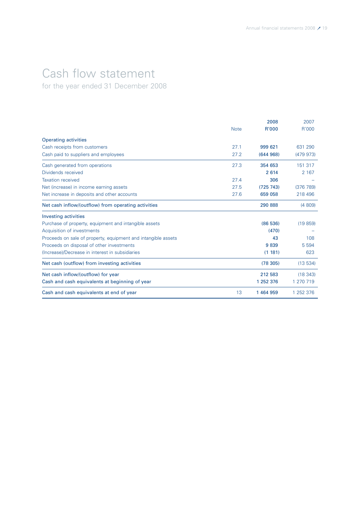## Cash flow statement

|                                                               | <b>Note</b> | 2008<br>R'000 | 2007<br>R'000 |
|---------------------------------------------------------------|-------------|---------------|---------------|
| <b>Operating activities</b>                                   |             |               |               |
| Cash receipts from customers                                  | 27.1        | 999 621       | 631 290       |
| Cash paid to suppliers and employees                          | 27.2        | (644968)      | (479973)      |
| Cash generated from operations                                | 27.3        | 354 653       | 151 317       |
| Dividends received                                            |             | 2614          | 2 1 6 7       |
| <b>Taxation received</b>                                      | 27.4        | 306           |               |
| Net (increase) in income earning assets                       | 27.5        | (725 743)     | (376 789)     |
| Net increase in deposits and other accounts                   | 27.6        | 659 058       | 218 496       |
| Net cash inflow/(outflow) from operating activities           |             | 290 888       | (4809)        |
| Investing activities                                          |             |               |               |
| Purchase of property, equipment and intangible assets         |             | (86536)       | (19859)       |
| Acquisition of investments                                    |             | (470)         |               |
| Proceeds on sale of property, equipment and intangible assets |             | 43            | 108           |
| Proceeds on disposal of other investments                     |             | 9839          | 5 5 9 4       |
| (Increase)/Decrease in interest in subsidiaries               |             | (1 181)       | 623           |
| Net cash (outflow) from investing activities                  |             | (78305)       | (13534)       |
| Net cash inflow/(outflow) for year                            |             | 212 583       | (18, 343)     |
| Cash and cash equivalents at beginning of year                |             | 1 252 376     | 1 270 719     |
| Cash and cash equivalents at end of year                      | 13          | 1 464 959     | 1 252 376     |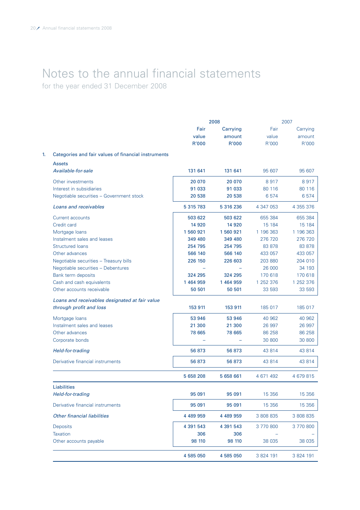|                                                     | 2008      |           |           | 2007              |  |  |
|-----------------------------------------------------|-----------|-----------|-----------|-------------------|--|--|
|                                                     | Fair      | Carrying  | Fair      | Carrying          |  |  |
|                                                     | value     | amount    | value     | amount            |  |  |
|                                                     | R'000     | R'000     | R'000     | R'000             |  |  |
| Categories and fair values of financial instruments |           |           |           |                   |  |  |
| <b>Assets</b>                                       |           |           |           |                   |  |  |
| Available-for-sale                                  | 131 641   | 131 641   | 95 607    | 95 607            |  |  |
| Other investments                                   | 20 070    | 20 070    | 8917      | 8917              |  |  |
| Interest in subsidiaries                            | 91 033    | 91 033    | 80 116    | 80 116            |  |  |
| Negotiable securities - Government stock            | 20 538    | 20 538    | 6 5 7 4   | 6 5 7 4           |  |  |
| Loans and receivables                               | 5 315 783 | 5 316 236 | 4 347 053 | 4 3 5 37 6        |  |  |
| Current accounts                                    | 503 622   | 503 622   | 655 384   | 655 384           |  |  |
| Credit card                                         | 14 9 20   | 14 9 20   | 15 184    | 15 184            |  |  |
| Mortgage loans                                      | 1 560 921 | 1560921   | 1 196 363 | 1 196 363         |  |  |
| Instalment sales and leases                         | 349 480   | 349 480   | 276 720   | 276 720           |  |  |
| <b>Structured loans</b>                             | 254 795   | 254 795   | 83 878    | 83 878            |  |  |
| Other advances                                      | 566 140   | 566 140   | 433 057   | 433 057           |  |  |
| Negotiable securities - Treasury bills              | 226 150   | 226 603   | 203 880   | 204 010           |  |  |
| Negotiable securities - Debentures                  |           |           | 26 000    | 34 193            |  |  |
| Bank term deposits                                  | 324 295   | 324 295   | 170 618   | 170 618           |  |  |
| Cash and cash equivalents                           | 1 464 959 | 1 464 959 | 1 252 376 | 1 252 376         |  |  |
| Other accounts receivable                           | 50 501    | 50 501    | 33 593    | 33 593            |  |  |
| Loans and receivables designated at fair value      |           |           |           |                   |  |  |
| through profit and loss                             | 153 911   | 153 911   | 185 017   | 185 017           |  |  |
| Mortgage loans                                      | 53 946    | 53 946    | 40 962    | 40 962            |  |  |
| Instalment sales and leases                         | 21 300    | 21 300    | 26 997    | 26 997            |  |  |
| Other advances                                      | 78 665    | 78 665    | 86 258    | 86 258            |  |  |
| Corporate bonds                                     |           |           | 30 800    | 30 800            |  |  |
| Held-for-trading                                    | 56 873    | 56 873    | 43 814    | 43 814            |  |  |
| Derivative financial instruments                    | 56 873    | 56 873    | 43 814    | 43 814            |  |  |
|                                                     | 5 658 208 | 5 658 661 | 4 671 492 | 4 679 815         |  |  |
| Liabilities                                         |           |           |           |                   |  |  |
| Held-for-trading                                    | 95 091    | 95 091    | 15 3 5 6  | 15 356            |  |  |
| Derivative financial instruments                    | 95 091    | 95 091    | 15 3 5 6  | 15 3 5 6          |  |  |
| <b>Other financial liabilities</b>                  |           |           | 3 808 835 | 3 808 835         |  |  |
| Deposits                                            | 4 489 959 | 4 489 959 |           |                   |  |  |
|                                                     | 4 391 543 | 4 391 543 | 3770800   |                   |  |  |
| <b>Taxation</b>                                     | 306       | 306       |           |                   |  |  |
| Other accounts payable                              | 98 110    | 98 110    | 38 035    | 3770800<br>38 035 |  |  |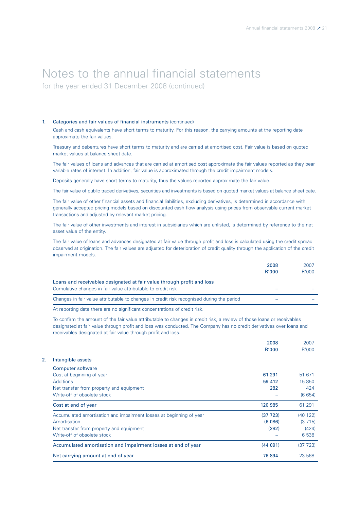for the year ended 31 December 2008 (continued)

### 1. Categories and fair values of financial instruments (continued)

Cash and cash equivalents have short terms to maturity. For this reason, the carrying amounts at the reporting date approximate the fair values.

Treasury and debentures have short terms to maturity and are carried at amortised cost. Fair value is based on quoted market values at balance sheet date.

The fair values of loans and advances that are carried at amortised cost approximate the fair values reported as they bear variable rates of interest. In addition, fair value is approximated through the credit impairment models.

Deposits generally have short terms to maturity, thus the values reported approximate the fair value.

The fair value of public traded derivatives, securities and investments is based on quoted market values at balance sheet date.

The fair value of other financial assets and financial liabilities, excluding derivatives, is determined in accordance with generally accepted pricing models based on discounted cash flow analysis using prices from observable current market transactions and adjusted by relevant market pricing.

The fair value of other investments and interest in subsidiaries which are unlisted, is determined by reference to the net asset value of the entity.

The fair value of loans and advances designated at fair value through profit and loss is calculated using the credit spread observed at origination. The fair values are adjusted for deterioration of credit quality through the application of the credit impairment models.

|                                                                                                                                        | 2008         | 2007  |
|----------------------------------------------------------------------------------------------------------------------------------------|--------------|-------|
|                                                                                                                                        | <b>R'000</b> | R'000 |
| Loans and receivables designated at fair value through profit and loss<br>Cumulative changes in fair value attributable to credit risk |              |       |
| Changes in fair value attributable to changes in credit risk recognised during the period                                              |              |       |

At reporting date there are no significant concentrations of credit risk.

To confirm the amount of the fair value attributable to changes in credit risk, a review of those loans or receivables designated at fair value through profit and loss was conducted. The Company has no credit derivatives over loans and receivables designated at fair value through profit and loss.

|                                                                     | 2008     | 2007     |
|---------------------------------------------------------------------|----------|----------|
|                                                                     | R'000    | R'000    |
| Intangible assets                                                   |          |          |
| <b>Computer software</b>                                            |          |          |
| Cost at beginning of year                                           | 61 291   | 51 671   |
| <b>Additions</b>                                                    | 59 412   | 15 850   |
| Net transfer from property and equipment                            | 282      | 424      |
| Write-off of obsolete stock                                         |          | (6654)   |
| Cost at end of year                                                 | 120 985  | 61 291   |
| Accumulated amortisation and impairment losses at beginning of year | (37 723) | (40122)  |
| Amortisation                                                        | (6086)   | (3715)   |
| Net transfer from property and equipment                            | (282)    | (424)    |
| Write-off of obsolete stock                                         |          | 6 5 38   |
| Accumulated amortisation and impairment losses at end of year       | (44091)  | (37 723) |
| Net carrying amount at end of year                                  | 76 894   | 23 568   |
|                                                                     |          |          |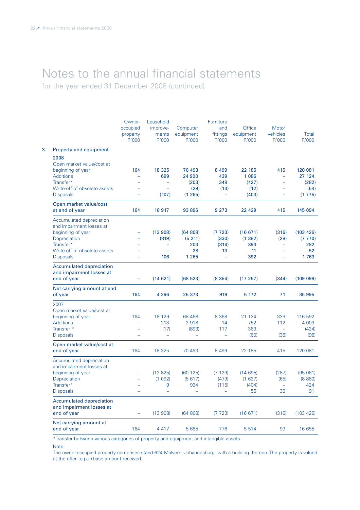for the year ended 31 December 2008 (continued)

|                                                             | Owner-<br>occupied<br>property<br>R'000              | Leasehold<br>improve-<br>ments<br>R'000 | Computer<br>equipment<br>R'000 | Furniture<br>and<br>fittings<br>R'000 | Office<br>equipment<br>R'000 | Motor<br>vehicles<br>R'000      | Total<br>R'000    |
|-------------------------------------------------------------|------------------------------------------------------|-----------------------------------------|--------------------------------|---------------------------------------|------------------------------|---------------------------------|-------------------|
| Property and equipment                                      |                                                      |                                         |                                |                                       |                              |                                 |                   |
| 2008                                                        |                                                      |                                         |                                |                                       |                              |                                 |                   |
| Open market value/cost at                                   |                                                      |                                         |                                |                                       |                              |                                 |                   |
| beginning of year<br><b>Additions</b>                       | 164<br>$\overline{\phantom{0}}$                      | 18 325<br>699                           | 70 493<br>24 900               | 8 4 9 9<br>439                        | 22 185<br>1086               | 415<br>$\overline{\phantom{0}}$ | 120 081<br>27 124 |
| Transfer*                                                   | $\overline{\phantom{0}}$                             |                                         | (203)                          | 348                                   | (427)                        | $\overline{\phantom{0}}$        | (282)             |
| Write-off of obsolete assets                                |                                                      |                                         | (29)                           | (13)                                  | (12)                         |                                 | (54)              |
| <b>Disposals</b>                                            | L.                                                   | (107)                                   | (1265)                         | $\overline{\phantom{m}}$              | (403)                        | $\overline{a}$                  | (1775)            |
| Open market value/cost<br>at end of year                    | 164                                                  | 18917                                   | 93 896                         | 9 2 7 3                               | 22 4 29                      | 415                             | 145 094           |
| Accumulated depreciation<br>and impairment losses at        |                                                      |                                         |                                |                                       |                              |                                 |                   |
| beginning of year                                           | $\overline{\phantom{0}}$                             | (13908)                                 | (64 808)                       | (7723)                                | (16671)                      | (316)                           | (103 426)         |
| Depreciation                                                | $\overline{a}$                                       | (819)                                   | (5211)                         | (330)                                 | (1382)                       | (28)                            | (7770)            |
| Transfer*                                                   | $\overline{\phantom{0}}$                             | $\overline{\phantom{0}}$                | 203                            | (314)                                 | 393                          | $\qquad \qquad -$               | 282               |
| Write-off of obsolete assets<br><b>Disposals</b>            | $\overline{\phantom{0}}$<br>$\overline{\phantom{0}}$ | $\overline{\phantom{0}}$<br>106         | 28<br>1 2 6 5                  | 13<br>$\equiv$                        | 11<br>392                    | $\overline{\phantom{0}}$        | 52<br>1763        |
| <b>Accumulated depreciation</b><br>and impairment losses at |                                                      |                                         |                                |                                       |                              |                                 |                   |
| end of year                                                 | $\overline{\phantom{0}}$                             | (14621)                                 | (68523)                        | (8354)                                | (17257)                      | (344)                           | (109 099)         |
| Net carrying amount at end                                  |                                                      |                                         |                                |                                       |                              |                                 |                   |
| of year                                                     | 164                                                  | 4 2 9 6                                 | 25 373                         | 919                                   | 5 1 7 2                      | 71                              | 35 995            |
| 2007                                                        |                                                      |                                         |                                |                                       |                              |                                 |                   |
| Open market value/cost at                                   | 164                                                  | 18 129                                  |                                | 8 3 6 8                               | 21 124                       | 339                             | 116 592           |
| beginning of year<br><b>Additions</b>                       | $\overline{a}$                                       | 213                                     | 68 4 68<br>2918                | 14                                    | 752                          | 112                             | 4 0 0 9           |
| Transfer *                                                  | $\overline{\phantom{0}}$                             | (17)                                    | (893)                          | 117                                   | 369                          | $\overline{\phantom{0}}$        | (424)             |
| <b>Disposals</b>                                            | $\overline{\phantom{0}}$                             | $\overline{\phantom{0}}$                |                                |                                       | (60)                         | (36)                            | (96)              |
| Open market value/cost at                                   |                                                      |                                         |                                |                                       |                              |                                 |                   |
| end of year                                                 | 164                                                  | 18 3 25                                 | 70 493                         | 8 4 9 9                               | 22 185                       | 415                             | 120 081           |
| Accumulated depreciation<br>and impairment losses at        |                                                      |                                         |                                |                                       |                              |                                 |                   |
| beginning of year                                           | ۳                                                    | (12825)                                 | (60125)                        | (7129)                                | (14695)                      | (287)                           | (95061)           |
| Depreciation                                                | $\overline{\phantom{0}}$                             | (1 092)                                 | (5617)                         | (479)                                 | (1627)                       | (65)                            | (8880)            |
| Transfer*<br><b>Disposals</b>                               | $\overline{\phantom{0}}$                             | 9<br>$\overline{\phantom{0}}$           | 934                            | (115)                                 | (404)<br>55                  | 36                              | 424<br>91         |
| <b>Accumulated depreciation</b>                             |                                                      |                                         |                                |                                       |                              |                                 |                   |
| and impairment losses at<br>end of year                     |                                                      | (13908)                                 | (64 808)                       | (7723)                                | (16671)                      | (316)                           | (103 426)         |
| Net carrying amount at<br>end of year                       | 164                                                  | 4 4 1 7                                 | 5685                           | 776                                   | 5 5 1 4                      | 99                              | 16 655            |

\*Transfer between various categories of property and equipment and intangible assets.

Note:

The owner-occupied property comprises stand 624 Malvern, Johannesburg, with a building thereon. The property is valued at the offer to purchase amount received.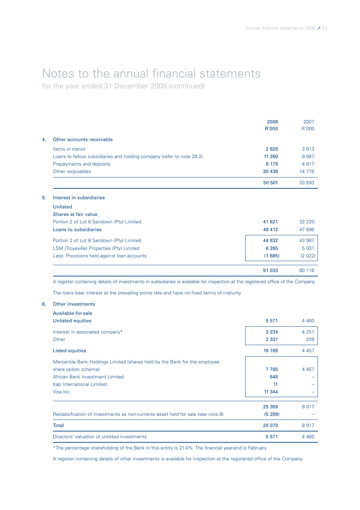for the year ended 31 December 2008 (continued)

|                                                                       | 2008<br>R'000 | 2007<br>R'000 |
|-----------------------------------------------------------------------|---------------|---------------|
| Other accounts receivable<br>4.                                       |               |               |
| Items in transit                                                      | 2 6 2 6       | 3913          |
| Loans to fellow subsidiaries and holding company (refer to note 28.2) | 11 260        | 9 9 8 7       |
| Prepayments and deposits                                              | 6 179         | 4 9 1 7       |
| Other receivables                                                     | 30 436        | 14 776        |
|                                                                       | 50 501        | 33 593        |
| Interest in subsidiaries<br>5.                                        |               |               |
| Unlisted                                                              |               |               |
| Shares at fair value                                                  |               |               |
| Portion 2 of Lot 8 Sandown (Pty) Limited                              | 41 621        | 32 2 2 0      |
| Loans to subsidiaries                                                 | 49 4 12       | 47 896        |
| Portion 2 of Lot 8 Sandown (Pty) Limited                              | 44 832        | 43 987        |
| LSM (Troyeville) Properties (Pty) Limited                             | 6 2 6 5       | 5931          |
| Less: Provisions held against loan accounts                           | (1685)        | (2 022)       |
|                                                                       | 91 033        | 80 116        |

A register containing details of investments in subsidiaries is available for inspection at the registered office of the Company.

The loans bear interest at the prevailing prime rate and have no fixed terms of maturity.

### 6. Other investments

| Available-for-sale                                                               |         |         |
|----------------------------------------------------------------------------------|---------|---------|
| Unlisted equities                                                                | 5 5 7 1 | 4 4 6 0 |
| Interest in associated company*                                                  | 3 2 3 4 | 4 2 5 1 |
| Other                                                                            | 2 3 3 7 | 209     |
| <b>Listed equities</b>                                                           | 19 7 88 | 4 4 5 7 |
| Mercantile Bank Holdings Limited (shares held by the Bank for the employee       |         |         |
| share option scheme)                                                             | 7 7 8 5 | 4 4 5 7 |
| African Bank Investment Limited                                                  | 648     |         |
| Kap International Limited                                                        | 11      |         |
| Visa Inc.                                                                        | 11 344  |         |
|                                                                                  | 25 359  | 8917    |
| Reclassification of investments as non-currents asset held for sale (see note 8) | (5 289) |         |
| <b>Total</b>                                                                     | 20 070  | 8917    |
| Directors' valuation of unlisted investments                                     | 5 5 7 1 | 4 4 6 0 |

\*The percentage shareholding of the Bank in this entity is 21.4%. The financial year-end is February.

A register containing details of other investments is available for inspection at the registered office of the Company.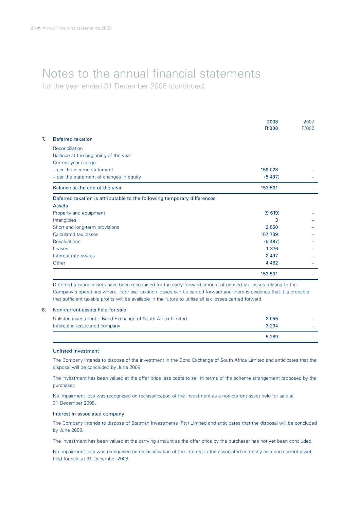for the year ended 31 December 2008 (continued)

|                                                                          | 2008<br>R'000 | 2007<br>R'000 |
|--------------------------------------------------------------------------|---------------|---------------|
| Deferred taxation                                                        |               |               |
| Reconciliation                                                           |               |               |
| Balance at the beginning of the year                                     |               |               |
| Current year charge                                                      |               |               |
| - per the income statement                                               | 159 028       |               |
| - per the statement of changes in equity                                 | (5 497)       |               |
| Balance at the end of the year                                           | 153 531       |               |
| Deferred taxation is attributable to the following temporary differences |               |               |
| <b>Assets</b>                                                            |               |               |
| Property and equipment                                                   | (9619)        |               |
| Intangibles                                                              | 3             |               |
| Short and long-term provisions                                           | 2 5 5 0       |               |
| Calculated tax losses                                                    | 157 739       |               |
| <b>Revaluations</b>                                                      | (5497)        |               |
| Leases                                                                   | 1 3 7 6       |               |
| Interest rate swaps                                                      | 2 4 9 7       |               |
| Other                                                                    | 4 4 8 2       |               |
|                                                                          | 153 531       |               |

Deferred taxation assets have been recognised for the carry forward amount of unused tax losses relating to the Company's operations where, inter alia, taxation losses can be carried forward and there is evidence that it is probable that sufficient taxable profits will be available in the future to utilise all tax losses carried forward.

### 8. Non-current assets held for sale

| Unlisted investment – Bond Exchange of South Africa Limited | 2 0 5 5 |  |
|-------------------------------------------------------------|---------|--|
| Interest in associated company                              | 3 2 3 4 |  |
|                                                             | 5 2 8 9 |  |

### Unlisted investment

The Company intends to dispose of the investment in the Bond Exchange of South Africa Limited and anticipates that the disposal will be concluded by June 2009.

The investment has been valued at the offer price less costs to sell in terms of the scheme arrangement proposed by the purchaser.

No impairment loss was recognised on reclassification of the investment as a non-current asset held for sale at 31 December 2008.

### Interest in associated company

The Company intends to dispose of Statman Investments (Pty) Limited and anticipates that the disposal will be concluded by June 2009.

The investment has been valued at the carrying amount as the offer price by the purchaser has not yet been concluded.

No impairment loss was recognised on reclassification of the interest in the associated company as a non-current asset held for sale at 31 December 2008.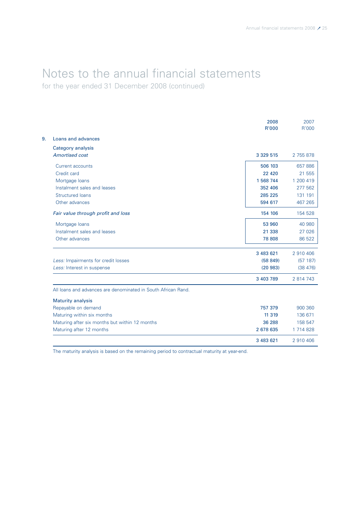for the year ended 31 December 2008 (continued)

|                                                               | 2008<br>R'000   | 2007<br>R'000 |
|---------------------------------------------------------------|-----------------|---------------|
| Loans and advances                                            |                 |               |
| <b>Category analysis</b>                                      |                 |               |
| <b>Amortised cost</b>                                         | 3 3 2 5 1 5 1 5 | 2 755 878     |
| Current accounts                                              | 506 103         | 657 886       |
| Credit card                                                   | 22 4 20         | 21 555        |
| Mortgage loans                                                | 1 568 744       | 1 200 419     |
| Instalment sales and leases                                   | 352 406         | 277 562       |
| <b>Structured loans</b>                                       | 285 225         | 131 191       |
| Other advances                                                | 594 617         | 467 265       |
| Fair value through profit and loss                            | 154 106         | 154 528       |
| Mortgage loans                                                | 53 960          | 40 980        |
| Instalment sales and leases                                   | 21 338          | 27 0 26       |
| Other advances                                                | 78 808          | 86 522        |
|                                                               | 3 483 621       | 2 910 406     |
| Less: Impairments for credit losses                           | (58849)         | (57 187)      |
| Less: Interest in suspense                                    | (20983)         | (38 476)      |
|                                                               | 3 403 789       | 2 814 743     |
| All loans and advances are denominated in South African Rand. |                 |               |
| <b>Maturity analysis</b>                                      |                 |               |
| Repayable on demand                                           | 757 379         | 900 360       |
| Maturing within six months                                    | 11 3 19         | 136 671       |
| Maturing after six months but within 12 months                | 36 288          | 158 547       |
| Maturing after 12 months                                      | 2 678 635       | 1 714 828     |
|                                                               | 3 483 621       | 2 910 406     |
|                                                               |                 |               |

The maturity analysis is based on the remaining period to contractual maturity at year-end.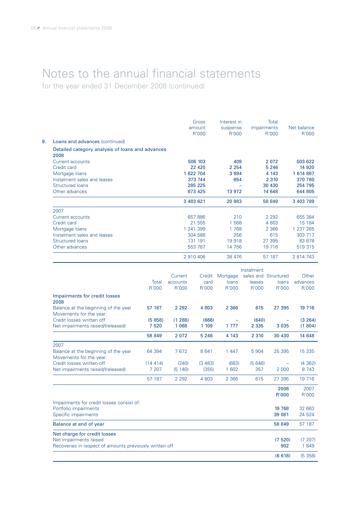|                                                                                                                                       |                  |                    | Gross<br>amount    | Interest in<br>suspense | impairments          | Total          | Net balance                                                                                                              |
|---------------------------------------------------------------------------------------------------------------------------------------|------------------|--------------------|--------------------|-------------------------|----------------------|----------------|--------------------------------------------------------------------------------------------------------------------------|
|                                                                                                                                       |                  |                    | R'000              | R'000                   |                      | R'000          | R'000                                                                                                                    |
| Loans and advances (continued)                                                                                                        |                  |                    |                    |                         |                      |                |                                                                                                                          |
| Detailed category analysis of loans and advances                                                                                      |                  |                    |                    |                         |                      |                |                                                                                                                          |
| 2008                                                                                                                                  |                  |                    |                    |                         |                      |                |                                                                                                                          |
| Current accounts                                                                                                                      |                  |                    | 506 103            | 409                     |                      | 2 0 7 2        | 503 622                                                                                                                  |
| Credit card                                                                                                                           |                  |                    | 22 4 20            | 2 2 5 4                 |                      | 5 2 4 6        | 14 920                                                                                                                   |
| Mortgage loans                                                                                                                        |                  |                    | 1 622 704          | 3694                    |                      | 4 1 4 3        | 1 614 867                                                                                                                |
| Instalment sales and leases                                                                                                           |                  |                    | 373 744            | 654                     |                      | 2 3 1 0        | 370 780                                                                                                                  |
| <b>Structured loans</b>                                                                                                               |                  |                    | 285 225<br>673 425 |                         |                      | 30 430         | 254 795                                                                                                                  |
| Other advances                                                                                                                        |                  |                    |                    | 13 972                  |                      | 14 648         | 644 805                                                                                                                  |
|                                                                                                                                       |                  |                    | 3 483 621          | 20 983                  |                      | 58 849         | 3 403 789                                                                                                                |
| 2007<br>Current accounts                                                                                                              |                  |                    | 657 886            | 210                     |                      | 2 2 9 2        | 655 384                                                                                                                  |
| Credit card                                                                                                                           |                  |                    | 21 555             | 1568                    |                      | 4 803          | 15 184                                                                                                                   |
| Mortgage loans                                                                                                                        |                  |                    | 1 241 399          | 1768                    |                      | 2 3 6 6        |                                                                                                                          |
| Instalment sales and leases                                                                                                           |                  |                    | 304 588            | 256                     |                      | 615            | 1 237 265<br>303 717                                                                                                     |
| <b>Structured loans</b>                                                                                                               |                  |                    | 131 191            | 19918                   |                      | 27 395         | 83 878                                                                                                                   |
| Other advances                                                                                                                        |                  |                    | 553 787            | 14 756                  |                      | 19 716         | 519 315                                                                                                                  |
|                                                                                                                                       |                  |                    | 2 910 406          | 38 476                  |                      | 57 187         | 2 814 743                                                                                                                |
|                                                                                                                                       |                  |                    |                    |                         |                      |                |                                                                                                                          |
|                                                                                                                                       |                  |                    |                    |                         | Instalment           |                |                                                                                                                          |
|                                                                                                                                       |                  | Current            |                    | Credit Mortgage         | sales and Structured |                | Other                                                                                                                    |
|                                                                                                                                       | Total<br>R'000   | accounts<br>R'000  | card<br>R'000      | loans<br>R'000          | leases<br>R'000      | loans<br>R'000 | advances<br>R'000                                                                                                        |
| Impairments for credit losses<br>2008<br>Balance at the beginning of the year<br>Movements for the year:<br>Credit losses written off | 57 187<br>(5858) | 2 2 9 2<br>(1 288) | 4 8 0 3<br>(666)   | 2 3 6 6                 | 615<br>(640)         | 27 395         | 19 7 16<br>(3 264)                                                                                                       |
|                                                                                                                                       |                  |                    | 1 109              | 1777                    |                      | 3 0 3 5        |                                                                                                                          |
| Net impairments raised/(released)                                                                                                     | 7520             | 1 0 6 8            |                    |                         | 2 3 3 5              |                |                                                                                                                          |
|                                                                                                                                       | 58 849           | 2 0 7 2            | 5 2 4 6            | 4 1 4 3                 | 2 3 1 0              | 30 430         |                                                                                                                          |
| 2007                                                                                                                                  |                  |                    |                    |                         |                      |                |                                                                                                                          |
| Balance at the beginning of the year                                                                                                  | 64 394           | 7672               | 8 6 4 1            | 1447                    | 5 9 0 4              | 25 395         |                                                                                                                          |
|                                                                                                                                       |                  |                    |                    |                         |                      |                |                                                                                                                          |
|                                                                                                                                       | (14414)<br>7 207 | (240)<br>(5140)    | (3 483)<br>(355)   | (683)<br>1 602          | (5646)<br>357        | 2 0 0 0        |                                                                                                                          |
| Credit losses written-off                                                                                                             | 57 187           | 2 2 9 2            | 4 8 0 3            | 2 3 6 6                 | 615                  | 27 395         |                                                                                                                          |
|                                                                                                                                       |                  |                    |                    |                         |                      | 2008           |                                                                                                                          |
|                                                                                                                                       |                  |                    |                    |                         |                      | R'000          |                                                                                                                          |
| Movements for the year:<br>Net impairments raised/(released)<br>Impairments for credit losses consist of:<br>Portfolio impairments    |                  |                    |                    |                         |                      | 19 768         |                                                                                                                          |
|                                                                                                                                       |                  |                    |                    |                         |                      | 39 081         |                                                                                                                          |
|                                                                                                                                       |                  |                    |                    |                         |                      | 58 849         |                                                                                                                          |
| Specific impairments<br>Balance at end of year<br>Net charge for credit losses                                                        |                  |                    |                    |                         |                      |                |                                                                                                                          |
| Net impairments raised                                                                                                                |                  |                    |                    |                         |                      | (7 520)        |                                                                                                                          |
| Recoveries in respect of amounts previously written off                                                                               |                  |                    |                    |                         |                      | 902            | (1804)<br>14 648<br>15 3 35<br>(4362)<br>8743<br>19716<br>2007<br>R'000<br>32 663<br>24 524<br>57 187<br>(7 207)<br>1849 |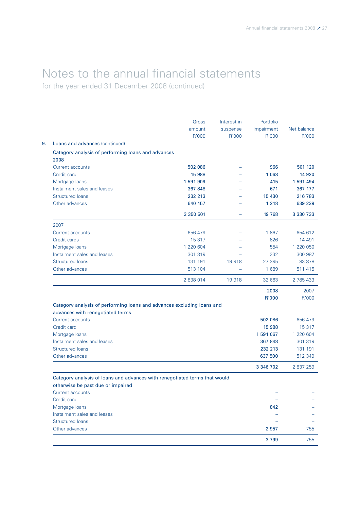|                                                                            | Gross<br>amount | Interest in<br>suspense | Portfolio<br>impairment | Net balance                                                  |
|----------------------------------------------------------------------------|-----------------|-------------------------|-------------------------|--------------------------------------------------------------|
|                                                                            | R'000           | R'000                   | R'000                   | R'000                                                        |
| Loans and advances (continued)                                             |                 |                         |                         |                                                              |
| Category analysis of performing loans and advances                         |                 |                         |                         |                                                              |
| 2008                                                                       |                 |                         |                         |                                                              |
| <b>Current accounts</b>                                                    | 502 086         |                         | 966                     | 501 120                                                      |
| Credit card                                                                | 15 988          |                         | 1 0 6 8                 | 14 920                                                       |
| Mortgage loans                                                             | 1591909         |                         | 415                     | 1 591 494                                                    |
| Instalment sales and leases                                                | 367 848         |                         | 671                     | 367 177                                                      |
| <b>Structured loans</b>                                                    | 232 213         |                         | 15 430                  | 216 783                                                      |
| Other advances                                                             | 640 457         |                         | 1 2 1 8                 | 639 239                                                      |
|                                                                            | 3 350 501       | $\equiv$                | 19 768                  | 3 3 3 0 7 3 3                                                |
| 2007                                                                       |                 |                         |                         |                                                              |
| Current accounts                                                           | 656 479         |                         | 1867                    | 654 612                                                      |
| Credit cards                                                               | 15 317          |                         | 826                     | 14 4 91                                                      |
| Mortgage loans                                                             | 1 220 604       |                         | 554                     | 1 220 050                                                    |
| Instalment sales and leases                                                | 301 319         |                         | 332                     | 300 987                                                      |
| <b>Structured loans</b>                                                    | 131 191         | 19 918                  | 27 395                  | 83 878                                                       |
| Other advances                                                             | 513 104         |                         | 1 689                   | 511 415                                                      |
|                                                                            |                 |                         |                         |                                                              |
|                                                                            | 2 838 014       | 19918                   | 32 663                  |                                                              |
|                                                                            |                 |                         | 2008                    |                                                              |
|                                                                            |                 |                         | R'000                   |                                                              |
| Category analysis of performing loans and advances excluding loans and     |                 |                         |                         |                                                              |
| advances with renegotiated terms                                           |                 |                         |                         |                                                              |
| <b>Current accounts</b>                                                    |                 |                         | 502 086                 |                                                              |
| Credit card                                                                |                 |                         | 15 988                  |                                                              |
| Mortgage loans                                                             |                 |                         | 1 591 067               | 2 785 433<br>2007<br>R'000<br>656 479<br>15 317<br>1 220 604 |
| Instalment sales and leases                                                |                 |                         | 367 848                 | 301 319                                                      |
| <b>Structured loans</b>                                                    |                 |                         | 232 213                 |                                                              |
| Other advances                                                             |                 |                         | 637 500                 |                                                              |
|                                                                            |                 |                         | 3 346 702               | 131 191<br>512 349<br>2 837 259                              |
| Category analysis of loans and advances with renegotiated terms that would |                 |                         |                         |                                                              |
| otherwise be past due or impaired                                          |                 |                         |                         |                                                              |
| Current accounts                                                           |                 |                         |                         |                                                              |
| Credit card                                                                |                 |                         |                         |                                                              |
| Mortgage loans                                                             |                 |                         | 842                     |                                                              |
| Instalment sales and leases                                                |                 |                         |                         |                                                              |
| <b>Structured loans</b>                                                    |                 |                         |                         |                                                              |
| Other advances                                                             |                 |                         | 2 9 5 7                 |                                                              |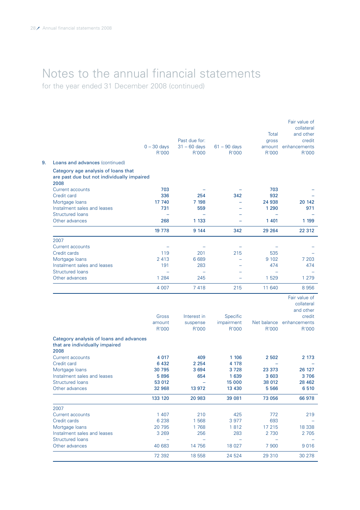| Other advances                                                                            | 40 683        | 14 756         | 18 0 27                  | 7 900   | 9016                        |
|-------------------------------------------------------------------------------------------|---------------|----------------|--------------------------|---------|-----------------------------|
| Instalment sales and leases<br><b>Structured loans</b>                                    | 3 2 6 9       | 256            | 283                      | 2 7 3 0 | 2 7 0 5                     |
| Mortgage loans                                                                            | 20 795        | 1768           | 1812                     | 17 215  | 18 3 38                     |
| Credit cards                                                                              | 6 2 3 8       | 1568           | 3 9 7 7                  | 693     |                             |
| Current accounts                                                                          | 1 407         | 210            | 425                      | 772     | 219                         |
| 2007                                                                                      |               |                |                          |         |                             |
|                                                                                           | 133 120       | 20 983         | 39 081                   | 73 056  | 66 978                      |
| Other advances                                                                            | 32 968        | 13 972         | 13 4 30                  | 5 5 6 6 | 6510                        |
| <b>Structured loans</b>                                                                   | 53 012        |                | 15 000                   | 38 012  | 28 4 62                     |
| Instalment sales and leases                                                               | 5896          | 654            | 1 639                    | 3 603   | 3706                        |
| Mortgage loans                                                                            | 30 795        | 3694           | 3728                     | 23 373  | 26 127                      |
| Credit card                                                                               | 6 4 3 2       | 2 2 5 4        | 4 178                    |         |                             |
| Current accounts                                                                          | 4 0 1 7       | 409            | 1 106                    | 2 502   | 2 1 7 3                     |
| Category analysis of loans and advances<br>that are individually impaired<br>2008         |               |                |                          |         |                             |
|                                                                                           | R'000         | R'000          | R'000                    | R'000   | R'000                       |
|                                                                                           | amount        | suspense       | impairment               |         | Net balance enhancements    |
|                                                                                           | Gross         | Interest in    | Specific                 |         | credit                      |
|                                                                                           |               |                |                          |         | collateral<br>and other     |
|                                                                                           |               |                |                          |         | Fair value of               |
|                                                                                           | 4 0 0 7       | 7418           | 215                      | 11 640  | 8 9 5 6                     |
| <b>Structured loans</b><br>Other advances                                                 | 1 2 8 4       | 245            | $\overline{\phantom{0}}$ | 1 5 2 9 | 1 2 7 9                     |
| Instalment sales and leases                                                               | 191           | 283            |                          | 474     | 474                         |
| Mortgage loans                                                                            | 2 4 1 3       | 6 6 8 9        |                          | 9 1 0 2 | 7 203                       |
| Credit cards                                                                              | 119           | 201            | 215                      | 535     |                             |
| 2007<br>Current accounts                                                                  |               |                |                          |         |                             |
|                                                                                           | 19 7 78       | 9 144          | 342                      | 29 264  | 22 312                      |
| Other advances                                                                            | 268           | 1 1 3 3        |                          | 1 4 0 1 | 1 199                       |
| Instalment sales and leases<br><b>Structured loans</b>                                    | 731           | 559            |                          | 1 2 9 0 | 971                         |
| Mortgage loans                                                                            | 17 740        | 7 198          | $\overline{\phantom{0}}$ | 24 938  | 20 14 2                     |
| Credit card                                                                               | 336           | 254            | 342                      | 932     |                             |
| <b>Current accounts</b>                                                                   | 703           |                |                          | 703     |                             |
| Category age analysis of loans that<br>are past due but not individually impaired<br>2008 |               |                |                          |         |                             |
| Loans and advances (continued)                                                            |               |                |                          |         |                             |
|                                                                                           | R'000         | R'000          | R'000                    | R'000   | R'000                       |
|                                                                                           | $0 - 30$ days | $31 - 60$ days | $61 - 90$ days           |         | amount enhancements         |
|                                                                                           |               | Past due for:  |                          | gross   | credit                      |
|                                                                                           |               |                |                          | Total   | and other                   |
|                                                                                           |               |                |                          |         | Fair value of<br>collateral |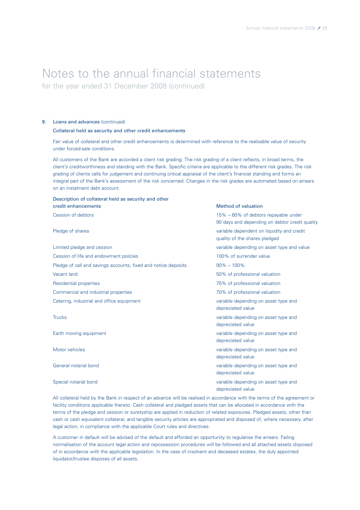for the year ended 31 December 2008 (continued)

### 9. Loans and advances (continued)

### Collateral held as security and other credit enhancements

Fair value of collateral and other credit enhancements is determined with reference to the realisable value of security under forced-sale conditions.

All customers of the Bank are accorded a client risk grading. The risk grading of a client reflects, in broad terms, the client's creditworthiness and standing with the Bank. Specific criteria are applicable to the different risk grades. The risk grading of clients calls for judgement and continuing critical appraisal of the client's financial standing and forms an integral part of the Bank's assessment of the risk concerned. Changes in the risk grades are automated based on arrears on an instalment debt account.

| Description of collateral held as security and other           |                                                                                        |
|----------------------------------------------------------------|----------------------------------------------------------------------------------------|
| credit enhancements                                            | Method of valuation                                                                    |
| Cession of debtors                                             | 15% – 60% of debtors repayable under<br>90 days and depending on debtor credit quality |
| Pledge of shares                                               | variable dependent on liquidity and credit<br>quality of the shares pledged            |
| Limited pledge and cession                                     | variable depending on asset type and value                                             |
| Cession of life and endowment policies                         | 100% of surrender value                                                                |
| Pledge of call and savings accounts, fixed and notice deposits | $90\% - 100\%$                                                                         |
| Vacant land                                                    | 50% of professional valuation                                                          |
| Residential properties                                         | 75% of professional valuation                                                          |
| Commercial and industrial properties                           | 70% of professional valuation                                                          |
| Catering, industrial and office equipment                      | variable depending on asset type and<br>depreciated value                              |
| <b>Trucks</b>                                                  | variable depending on asset type and<br>depreciated value                              |
| Earth moving equipment                                         | variable depending on asset type and<br>depreciated value                              |
| Motor vehicles                                                 | variable depending on asset type and<br>depreciated value                              |
| General notarial bond                                          | variable depending on asset type and<br>depreciated value                              |
| Special notarial bond                                          | variable depending on asset type and<br>depreciated value                              |

All collateral held by the Bank in respect of an advance will be realised in accordance with the terms of the agreement or facility conditions applicable thereto. Cash collateral and pledged assets that can be allocated in accordance with the terms of the pledge and cession or suretyship are applied in reduction of related exposures. Pledged assets, other than cash or cash equivalent collateral, and tangible security articles are appropriated and disposed of, where necessary, after legal action, in compliance with the applicable Court rules and directives.

A customer in default will be advised of the default and afforded an opportunity to regularise the arrears. Failing normalisation of the account legal action and repossession procedures will be followed and all attached assets disposed of in accordance with the applicable legislation. In the case of insolvent and deceased estates, the duly appointed liquidator/trustee disposes of all assets.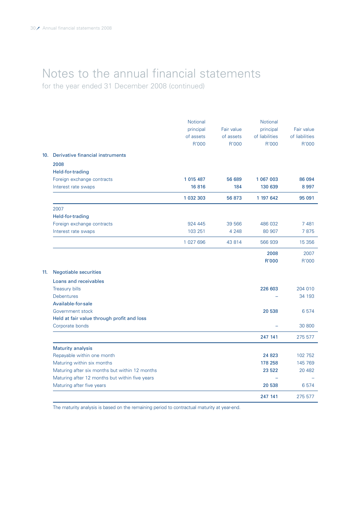for the year ended 31 December 2008 (continued)

|     |                                                | Notional<br>principal<br>of assets<br>R'000 | Fair value<br>of assets<br>R'000 | Notional<br>principal<br>of liabilities<br>R'000 | Fair value<br>of liabilities<br>R'000 |
|-----|------------------------------------------------|---------------------------------------------|----------------------------------|--------------------------------------------------|---------------------------------------|
| 10. | Derivative financial instruments               |                                             |                                  |                                                  |                                       |
|     | 2008                                           |                                             |                                  |                                                  |                                       |
|     | Held-for-trading                               |                                             |                                  |                                                  |                                       |
|     | Foreign exchange contracts                     | 1 015 487                                   | 56 689                           | 1 067 003                                        | 86 094                                |
|     | Interest rate swaps                            | 16816                                       | 184                              | 130 639                                          | 8997                                  |
|     |                                                | 1 032 303                                   | 56 873                           | 1 197 642                                        | 95 091                                |
|     | 2007                                           |                                             |                                  |                                                  |                                       |
|     | Held-for-trading                               |                                             |                                  |                                                  |                                       |
|     | Foreign exchange contracts                     | 924 445                                     | 39 566                           | 486 032                                          | 7481                                  |
|     | Interest rate swaps                            | 103 251                                     | 4 2 4 8                          | 80 907                                           | 7875                                  |
|     |                                                | 1 027 696                                   | 43 814                           | 566 939                                          | 15 356                                |
|     |                                                |                                             |                                  | 2008                                             | 2007                                  |
|     |                                                |                                             |                                  | R'000                                            | R'000                                 |
| 11. | <b>Negotiable securities</b>                   |                                             |                                  |                                                  |                                       |
|     | Loans and receivables                          |                                             |                                  |                                                  |                                       |
|     | Treasury bills                                 |                                             |                                  | 226 603                                          | 204 010                               |
|     | <b>Debentures</b>                              |                                             |                                  |                                                  | 34 193                                |
|     | Available-for-sale                             |                                             |                                  |                                                  |                                       |
|     | Government stock                               |                                             |                                  | 20 538                                           | 6 5 7 4                               |
|     | Held at fair value through profit and loss     |                                             |                                  |                                                  |                                       |
|     | Corporate bonds                                |                                             |                                  |                                                  | 30 800                                |
|     |                                                |                                             |                                  | 247 141                                          | 275 577                               |
|     | <b>Maturity analysis</b>                       |                                             |                                  |                                                  |                                       |
|     | Repayable within one month                     |                                             |                                  | 24 823                                           | 102 752                               |
|     | Maturing within six months                     |                                             |                                  | 178 258                                          | 145 769                               |
|     | Maturing after six months but within 12 months |                                             |                                  | 23 522                                           | 20 482                                |
|     | Maturing after 12 months but within five years |                                             |                                  |                                                  |                                       |
|     | Maturing after five years                      |                                             |                                  | 20 538                                           | 6 5 7 4                               |
|     |                                                |                                             |                                  | 247 141                                          | 275 577                               |

The maturity analysis is based on the remaining period to contractual maturity at year-end.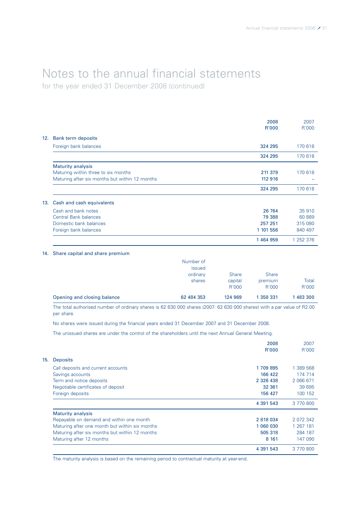for the year ended 31 December 2008 (continued)

|     |                                                | 2008<br>R'000 | 2007<br>R'000 |
|-----|------------------------------------------------|---------------|---------------|
| 12. | <b>Bank term deposits</b>                      |               |               |
|     | Foreign bank balances                          | 324 295       | 170 618       |
|     |                                                | 324 295       | 170 618       |
|     | <b>Maturity analysis</b>                       |               |               |
|     | Maturing within three to six months            | 211 379       | 170 618       |
|     | Maturing after six months but within 12 months | 112 916       |               |
|     |                                                | 324 295       | 170 618       |
| 13. | Cash and cash equivalents                      |               |               |
|     | Cash and bank notes                            | 26 764        | 35 910        |
|     | <b>Central Bank balances</b>                   | 79 388        | 60 889        |
|     | Domestic bank balances                         | 257 251       | 315 080       |
|     | Foreign bank balances                          | 1 101 556     | 840 497       |
|     |                                                | 1 464 959     | 1 252 376     |

### 14. Share capital and share premium

| Opening and closing balance | 62 484 353 | 124 969          | 1 358 331        | 1 483 300      |
|-----------------------------|------------|------------------|------------------|----------------|
|                             | shares     | capital<br>R'000 | premium<br>R'000 | Total<br>R'000 |
|                             | ordinary   | <b>Share</b>     | <b>Share</b>     |                |
|                             | issued     |                  |                  |                |
|                             | Number of  |                  |                  |                |

The total authorised number of ordinary shares is 62 630 000 shares (2007: 62 630 000 shares) with a par value of R2.00 per share.

No shares were issued during the financial years ended 31 December 2007 and 31 December 2008.

The unissued shares are under the control of the shareholders until the next Annual General Meeting.

|                                                | 2008<br>R'000 | 2007<br>R'000 |
|------------------------------------------------|---------------|---------------|
| <b>Deposits</b><br>15.                         |               |               |
| Call deposits and current accounts             | 1709895       | 1 389 568     |
| Savings accounts                               | 166 422       | 174 714       |
| Term and notice deposits                       | 2 326 438     | 2 066 671     |
| Negotiable certificates of deposit             | 32 361        | 39 695        |
| Foreign deposits                               | 156 427       | 100 152       |
|                                                | 4 391 543     | 3 770 800     |
| <b>Maturity analysis</b>                       |               |               |
| Repayable on demand and within one month       | 2818034       | 2 072 342     |
| Maturing after one month but within six months | 1 060 030     | 1 267 181     |
| Maturing after six months but within 12 months | 505 318       | 284 187       |
| Maturing after 12 months                       | 8 1 6 1       | 147 090       |
|                                                | 4 391 543     | 3 770 800     |

The maturity analysis is based on the remaining period to contractual maturity at year-end.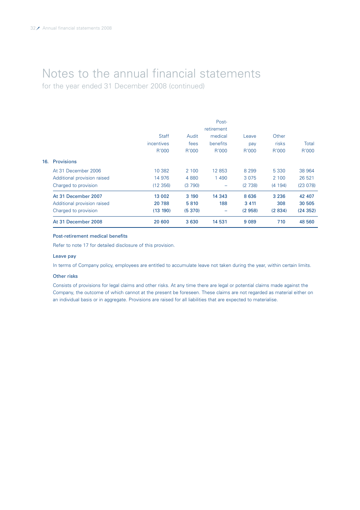for the year ended 31 December 2008 (continued)

|     |                             |              |         | Post-      |         |         |         |
|-----|-----------------------------|--------------|---------|------------|---------|---------|---------|
|     |                             |              |         | retirement |         |         |         |
|     |                             | <b>Staff</b> | Audit   | medical    | Leave   | Other   |         |
|     |                             | incentives   | fees    | benefits   | pay     | risks   | Total   |
|     |                             | R'000        | R'000   | R'000      | R'000   | R'000   | R'000   |
| 16. | <b>Provisions</b>           |              |         |            |         |         |         |
|     | At 31 December 2006         | 10 382       | 2 100   | 12 853     | 8 2 9 9 | 5 3 3 0 | 38 964  |
|     | Additional provision raised | 14 976       | 4 8 8 0 | 1 4 9 0    | 3075    | 2 100   | 26 521  |
|     | Charged to provision        | (12 356)     | (3790)  |            | (2738)  | (4 194) | (23078) |
|     | At 31 December 2007         | 13 002       | 3 190   | 14 343     | 8 6 3 6 | 3 2 3 6 | 42 407  |
|     | Additional provision raised | 20 788       | 5810    | 188        | 3 4 1 1 | 308     | 30 505  |
|     | Charged to provision        | (13 190)     | (5370)  | -          | (2958)  | (2834)  | (24352) |
|     | At 31 December 2008         | 20 600       | 3630    | 14 531     | 9 0 8 9 | 710     | 48 560  |

### Post-retirement medical benefits

Refer to note 17 for detailed disclosure of this provision.

### Leave pay

In terms of Company policy, employees are entitled to accumulate leave not taken during the year, within certain limits.

### Other risks

Consists of provisions for legal claims and other risks. At any time there are legal or potential claims made against the Company, the outcome of which cannot at the present be foreseen. These claims are not regarded as material either on an individual basis or in aggregate. Provisions are raised for all liabilities that are expected to materialise.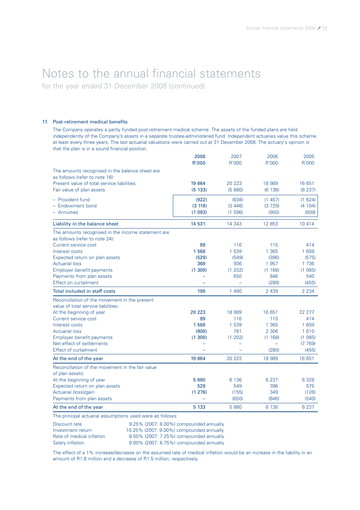for the year ended 31 December 2008 (continued)

### 17. Post-retirement medical benefits

The Company operates a partly funded post-retirement medical scheme. The assets of the funded plans are held independently of the Company's assets in a separate trustee-administered fund. Independent actuaries value this scheme at least every three years. The last actuarial valuations were carried out at 31 December 2008. The actuary's opinion is that the plan is in a sound financial position.

|                                                                                      | 2008<br><b>R'000</b>       | 2007<br>R'000             | 2006<br>R'000             | 2005<br>R'000              |
|--------------------------------------------------------------------------------------|----------------------------|---------------------------|---------------------------|----------------------------|
| The amounts recognised in the balance sheet are<br>as follows (refer to note 16):    |                            |                           |                           |                            |
| Present value of total service liabilities<br>Fair value of plan assets              | 19 664<br>(5 133)          | 20 223<br>(5880)          | 18 989<br>(6 136)         | 16 651<br>(6 237)          |
| - Provident fund<br>- Endowment bond<br>- Annuities                                  | (922)<br>(3 118)<br>(1093) | (838)<br>(3446)<br>(1596) | (1457)<br>(3729)<br>(950) | (1624)<br>(4 104)<br>(509) |
| Liability in the balance sheet                                                       | 14 531                     | 14 343                    | 12 853                    | 10 414                     |
| The amounts recognised in the income statement are<br>as follows (refer to note 24): |                            |                           |                           |                            |
| Current service cost<br>Interest costs<br>Expected return on plan assets             | 89<br>1568<br>(529)        | 116<br>1 539<br>(549)     | 115<br>1 3 6 5<br>(396)   | 414<br>1 659<br>(575)      |
| <b>Actuarial loss</b><br>Employer benefit payments                                   | 368<br>(1308)              | 936<br>(1 202)            | 1957<br>(1168)            | 1736<br>(1085)             |
| Payments from plan assets<br>Effect on curtailment                                   |                            | 650                       | 846<br>(280)              | 540<br>(455)               |
| Total included in staff costs                                                        | 188                        | 1 4 9 0                   | 2 4 3 9                   | 2 2 3 4                    |
| Reconciliation of the movement in the present<br>value of total service liabilities: |                            |                           |                           |                            |
| At the beginning of year                                                             | 20 223                     | 18 989                    | 16 651                    | 22 277                     |
| Current service cost                                                                 | 89                         | 116                       | 115                       | 414                        |
| Interest costs<br><b>Actuarial loss</b>                                              | 1568<br>(908)              | 1 539<br>781              | 1 3 6 5<br>2 3 0 6        | 1 659<br>1 6 1 0           |
| Employer benefit payments                                                            | (1308)                     | (1 202)                   | (1168)                    | (1085)                     |
| Net effect of settlements                                                            |                            |                           |                           | (7769)                     |
| Effect of curtailment                                                                |                            |                           | (280)                     | (455)                      |
| At the end of the year                                                               | 19 664                     | 20 223                    | 18 989                    | 16 651                     |
| Reconciliation of the movement in the fair value<br>of plan assets:                  |                            |                           |                           |                            |
| At the beginning of year                                                             | 5880                       | 6 1 3 6                   | 6 2 3 7                   | 6 3 2 8                    |
| Expected return on plan assets                                                       | 529                        | 549                       | 396                       | 575                        |
| Actuarial (loss)/gain                                                                | (1276)                     | (155)                     | 349                       | (126)                      |
| Payments from plan assets                                                            |                            | (650)                     | (846)                     | (540)                      |
| At the end of the year                                                               | 5 1 3 3                    | 5880                      | 6 1 3 6                   | 6 2 3 7                    |
|                                                                                      |                            |                           |                           |                            |

The principal actuarial assumptions used were as follows:

| Discount rate             | 9.25% (2007: 8.00%) compounded annually  |
|---------------------------|------------------------------------------|
| Investment return         | 10.25% (2007: 9.00%) compounded annually |
| Rate of medical inflation | 8.50% (2007: 7.25%) compounded annually  |
| Salary inflation          | 8.00% (2007: 6.75%) compounded annually  |

The effect of a 1% increase/decrease on the assumed rate of medical inflation would be an increase in the liability in an amount of R1.8 million and a decrease of R1.5 million, respectively.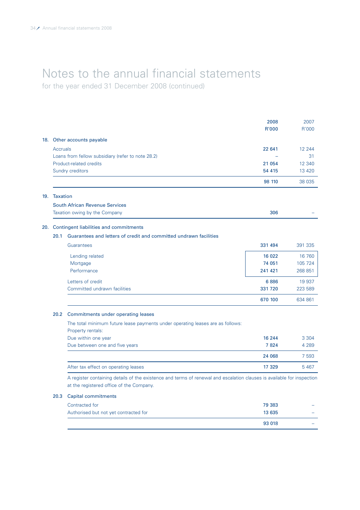|                        |                                                                                                                                                                    | 2008<br>R'000 | 2007<br>R'000 |
|------------------------|--------------------------------------------------------------------------------------------------------------------------------------------------------------------|---------------|---------------|
|                        |                                                                                                                                                                    |               |               |
| Accruals               | 18. Other accounts payable                                                                                                                                         | 22 641        | 12 244        |
|                        | Loans from fellow subsidiary (refer to note 28.2)                                                                                                                  |               | 31            |
|                        | Product-related credits                                                                                                                                            | 21 054        | 12 340        |
|                        | Sundry creditors                                                                                                                                                   | 54 4 1 5      | 13 4 20       |
|                        |                                                                                                                                                                    | 98 110        | 38 035        |
| <b>Taxation</b><br>19. |                                                                                                                                                                    |               |               |
|                        | <b>South African Revenue Services</b>                                                                                                                              |               |               |
|                        | Taxation owing by the Company                                                                                                                                      | 306           |               |
|                        | 20. Contingent liabilities and commitments                                                                                                                         |               |               |
| 20.1                   | Guarantees and letters of credit and committed undrawn facilities                                                                                                  |               |               |
|                        | Guarantees                                                                                                                                                         | 331 494       | 391 335       |
|                        | Lending related                                                                                                                                                    | 16 022        | 16 760        |
|                        | Mortgage                                                                                                                                                           | 74 051        | 105 724       |
|                        | Performance                                                                                                                                                        | 241 421       | 268 851       |
|                        | Letters of credit                                                                                                                                                  | 6886          | 19 937        |
|                        | Committed undrawn facilities                                                                                                                                       | 331 720       | 223 589       |
|                        |                                                                                                                                                                    | 670 100       | 634 861       |
| 20.2                   | Commitments under operating leases                                                                                                                                 |               |               |
|                        | The total minimum future lease payments under operating leases are as follows:<br>Property rentals:                                                                |               |               |
|                        | Due within one year                                                                                                                                                | 16 244        | 3 3 0 4       |
|                        | Due between one and five years                                                                                                                                     | 7824          | 4 2 8 9       |
|                        |                                                                                                                                                                    | 24 068        | 7 5 9 3       |
|                        | After tax effect on operating leases                                                                                                                               | 17 329        | 5 4 6 7       |
|                        | A register containing details of the existence and terms of renewal and escalation clauses is available for inspection<br>at the registered office of the Company. |               |               |
| 20.3                   | <b>Capital commitments</b>                                                                                                                                         |               |               |
|                        | Contracted for                                                                                                                                                     | 79 383        |               |
|                        | Authorised but not yet contracted for                                                                                                                              | 13 635        |               |
|                        |                                                                                                                                                                    | 93 018        |               |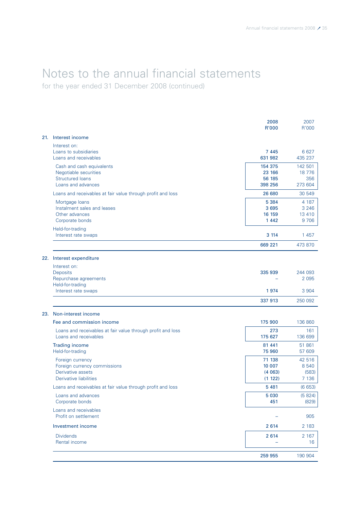|                                                                                      | 2008<br>R'000     | 2007<br>R'000     |
|--------------------------------------------------------------------------------------|-------------------|-------------------|
| Interest income<br>21.                                                               |                   |                   |
| Interest on:                                                                         |                   |                   |
| Loans to subsidiaries                                                                | 7445              | 6627              |
| Loans and receivables                                                                | 631 982           | 435 237           |
| Cash and cash equivalents                                                            | 154 375           | 142 501           |
| Negotiable securities                                                                | 23 166            | 18 776            |
| <b>Structured loans</b>                                                              | 56 185            | 356               |
| Loans and advances                                                                   | 398 256           | 273 604           |
| Loans and receivables at fair value through profit and loss                          | 26 680            | 30 549            |
| Mortgage loans                                                                       | 5 3 8 4           | 4 1 8 7           |
| Instalment sales and leases<br>Other advances                                        | 3 6 9 5<br>16 159 | 3 2 4 6<br>13 410 |
| Corporate bonds                                                                      | 1 4 4 2           | 9 7 0 6           |
|                                                                                      |                   |                   |
| Held-for-trading<br>Interest rate swaps                                              | 3 1 1 4           | 1 457             |
|                                                                                      | 669 221           | 473 870           |
|                                                                                      |                   |                   |
| 22. Interest expenditure                                                             |                   |                   |
| Interest on:                                                                         |                   | 244 093           |
| <b>Deposits</b><br>Repurchase agreements                                             | 335 939           | 2 0 9 5           |
| Held-for-trading                                                                     |                   |                   |
| Interest rate swaps                                                                  | 1974              | 3 9 0 4           |
|                                                                                      | 337 913           | 250 092           |
|                                                                                      |                   |                   |
| 23. Non-interest income                                                              |                   |                   |
| Fee and commission income                                                            | 175 900           | 136 860           |
| Loans and receivables at fair value through profit and loss<br>Loans and receivables | 273<br>175 627    | 161<br>136 699    |
| <b>Trading income</b>                                                                | 81 441            | 51 861            |
| Held-for-trading                                                                     | 75 960            | 57 609            |
| Foreign currency                                                                     | 71 138            | 42 516            |
| Foreign currency commissions                                                         | 10 007            | 8 5 4 0           |
| Derivative assets                                                                    | (4063)            | (583)             |
| Derivative liabilities                                                               | (1 122)           | 7 1 3 6           |
| Loans and receivables at fair value through profit and loss                          | 5 4 8 1           | (6653)            |
| Loans and advances                                                                   | 5 0 3 0           | (5824)            |
| Corporate bonds                                                                      | 451               | (829)             |
| Loans and receivables<br>Profit on settlement                                        |                   | 905               |
| Investment income                                                                    | 2 6 1 4           | 2 1 8 3           |
| <b>Dividends</b>                                                                     | 2 6 1 4           | 2 1 6 7           |
| Rental income                                                                        |                   | 16                |
|                                                                                      |                   |                   |
|                                                                                      | 259 955           | 190 904           |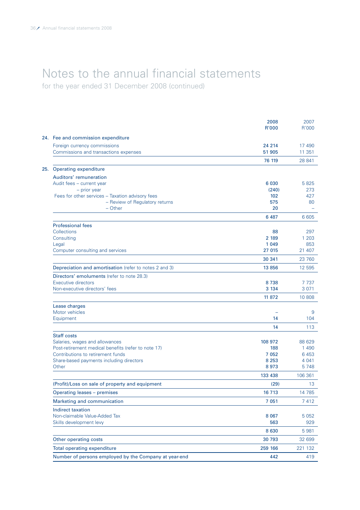|                                                        | 2008<br>R'000 | 2007<br>R'000 |
|--------------------------------------------------------|---------------|---------------|
| 24. Fee and commission expenditure                     |               |               |
| Foreign currency commissions                           | 24 214        | 17 490        |
| Commissions and transactions expenses                  | 51 905        | 11 351        |
|                                                        | 76 119        | 28 841        |
| 25. Operating expenditure                              |               |               |
| Auditors' remuneration                                 |               |               |
| Audit fees - current year                              | 6 0 3 0       | 5825          |
| $-$ prior year                                         | (240)         | 273           |
| Fees for other services - Taxation advisory fees       | 102           | 427           |
| - Review of Regulatory returns                         | 575           | 80            |
| $-$ Other                                              | 20            |               |
|                                                        | 6 4 8 7       | 6 6 0 5       |
| <b>Professional fees</b><br>Collections                | 88            | 297           |
| Consulting                                             | 2 189         | 1 203         |
| Legal                                                  | 1 0 4 9       | 853           |
| Computer consulting and services                       | 27 015        | 21 407        |
|                                                        | 30 341        | 23 760        |
| Depreciation and amortisation (refer to notes 2 and 3) | 13 856        | 12 595        |
| Directors' emoluments (refer to note 28.3)             |               |               |
| <b>Executive directors</b>                             | 8738          | 7 7 3 7       |
| Non-executive directors' fees                          | 3 1 3 4       | 3 0 7 1       |
|                                                        | 11 872        | 10 808        |
| Lease charges                                          |               |               |
| Motor vehicles                                         | 14            | 9             |
| Equipment                                              | 14            | 104           |
|                                                        |               | 113           |
| <b>Staff costs</b><br>Salaries, wages and allowances   | 108 972       | 88 629        |
| Post-retirement medical benefits (refer to note 17)    | 188           | 1 4 9 0       |
| Contributions to retirement funds                      | 7 0 5 2       | 6 4 5 3       |
| Share-based payments including directors               | 8 2 5 3       | 4 0 4 1       |
| Other                                                  | 8973          | 5748          |
|                                                        | 133 438       | 106 361       |
| (Profit)/Loss on sale of property and equipment        | (29)          | 13            |
| <b>Operating leases - premises</b>                     | 16 7 13       | 14 785        |
| Marketing and communication                            | 7 0 5 1       | 7412          |
| <b>Indirect taxation</b>                               |               |               |
| Non-claimable Value-Added Tax                          | 8 0 67        | 5 0 5 2       |
| Skills development levy                                | 563           | 929           |
|                                                        | 8 6 3 0       | 5 9 8 1       |
| Other operating costs                                  | 30 793        | 32 699        |
| <b>Total operating expenditure</b>                     | 259 166       | 221 132       |
| Number of persons employed by the Company at year-end  | 442           | 419           |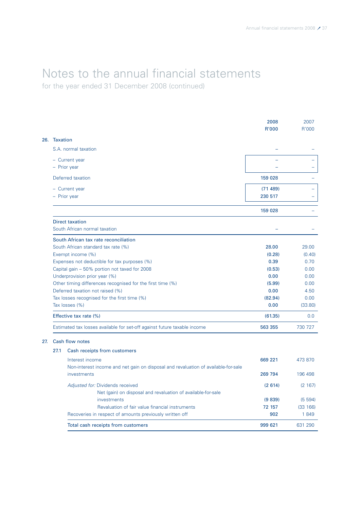|     |                                                                                    | 2008    | 2007     |
|-----|------------------------------------------------------------------------------------|---------|----------|
|     |                                                                                    | R'000   | R'000    |
|     | 26. Taxation                                                                       |         |          |
|     | S.A. normal taxation                                                               |         |          |
|     | - Current year                                                                     |         |          |
|     | - Prior year                                                                       |         |          |
|     | Deferred taxation                                                                  | 159 028 |          |
|     | - Current year                                                                     | (71489) |          |
|     | - Prior year                                                                       | 230 517 |          |
|     |                                                                                    | 159 028 |          |
|     | <b>Direct taxation</b>                                                             |         |          |
|     | South African normal taxation                                                      |         |          |
|     | South African tax rate reconciliation                                              |         |          |
|     | South African standard tax rate (%)                                                | 28.00   | 29.00    |
|     | Exempt income (%)                                                                  | (0.28)  | (0.40)   |
|     | Expenses not deductible for tax purposes (%)                                       | 0.39    | 0.70     |
|     | Capital gain – 50% portion not taxed for 2008                                      | (0.53)  | 0.00     |
|     | Underprovision prior year (%)                                                      | 0.00    | 0.00     |
|     | Other timing differences recognised for the first time (%)                         | (5.99)  | 0.00     |
|     | Deferred taxation not raised (%)                                                   | 0.00    | 4.50     |
|     | Tax losses recognised for the first time (%)                                       | (82.94) | 0.00     |
|     | Tax losses (%)                                                                     | 0.00    | (33.80)  |
|     | Effective tax rate (%)                                                             | (61.35) | 0.0      |
|     | Estimated tax losses available for set-off against future taxable income           | 563 355 | 730 727  |
| 27. | Cash flow notes                                                                    |         |          |
|     | 27.1<br>Cash receipts from customers                                               |         |          |
|     | Interest income                                                                    | 669 221 | 473 870  |
|     | Non-interest income and net gain on disposal and revaluation of available-for-sale |         |          |
|     | investments                                                                        | 269 794 | 196 498  |
|     | Adjusted for: Dividends received                                                   | (2614)  | (2167)   |
|     | Net (gain) on disposal and revaluation of available-for-sale                       |         |          |
|     | investments                                                                        | (9839)  | (5594)   |
|     | Revaluation of fair value financial instruments                                    | 72 157  | (33 166) |
|     | Recoveries in respect of amounts previously written off                            | 902     | 1849     |
|     | Total cash receipts from customers                                                 | 999 621 | 631 290  |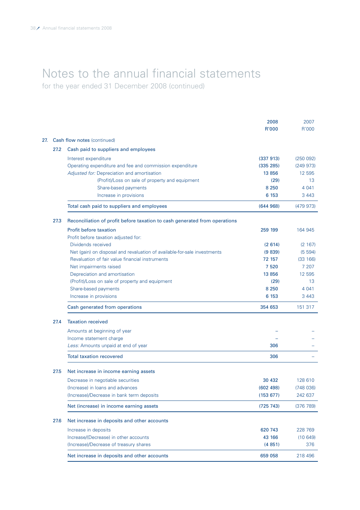|      |                                                                            | 2008      | 2007      |
|------|----------------------------------------------------------------------------|-----------|-----------|
|      |                                                                            | R'000     | R'000     |
| 27.  | Cash flow notes (continued)                                                |           |           |
| 27.2 | Cash paid to suppliers and employees                                       |           |           |
|      | Interest expenditure                                                       | (337913)  | (250092)  |
|      | Operating expenditure and fee and commission expenditure                   | (335 285) | (249973)  |
|      | Adjusted for: Depreciation and amortisation                                | 13 856    | 12 595    |
|      | (Profit)/Loss on sale of property and equipment                            | (29)      | 13        |
|      | Share-based payments                                                       | 8 2 5 0   | 4 0 4 1   |
|      | Increase in provisions                                                     | 6 1 5 3   | 3 4 4 3   |
|      | Total cash paid to suppliers and employees                                 | (644968)  | (479973)  |
| 27.3 | Reconciliation of profit before taxation to cash generated from operations |           |           |
|      | Profit before taxation                                                     | 259 199   | 164 945   |
|      | Profit before taxation adjusted for:                                       |           |           |
|      | Dividends received                                                         | (2614)    | (2167)    |
|      | Net (gain) on disposal and revaluation of available-for-sale investments   | (9839)    | (5 594)   |
|      | Revaluation of fair value financial instruments                            | 72 157    | (33 166)  |
|      | Net impairments raised                                                     | 7 5 20    | 7 207     |
|      | Depreciation and amortisation                                              | 13 856    | 12 595    |
|      | (Profit)/Loss on sale of property and equipment                            | (29)      | 13        |
|      | Share-based payments                                                       | 8 2 5 0   | 4 0 4 1   |
|      | Increase in provisions                                                     | 6 1 5 3   | 3 4 4 3   |
|      | Cash generated from operations                                             | 354 653   | 151 317   |
| 27.4 | <b>Taxation received</b>                                                   |           |           |
|      | Amounts at beginning of year                                               |           |           |
|      | Income statement charge                                                    |           |           |
|      | Less: Amounts unpaid at end of year                                        | 306       |           |
|      | <b>Total taxation recovered</b>                                            | 306       |           |
| 27.5 | Net increase in income earning assets                                      |           |           |
|      | Decrease in negotiable securities                                          | 30 432    | 128 610   |
|      | (Increase) in loans and advances                                           | (602 498) | (748036)  |
|      | (Increase)/Decrease in bank term deposits                                  | (153 677) | 242 637   |
|      | Net (increase) in income earning assets                                    | (725 743) | (376 789) |
| 27.6 | Net increase in deposits and other accounts                                |           |           |
|      | Increase in deposits                                                       | 620 743   | 228 769   |
|      | Increase/(Decrease) in other accounts                                      | 43 166    | (10649)   |
|      | (Increase)/Decrease of treasury shares                                     | (4851)    | 376       |
|      | Net increase in deposits and other accounts                                | 659 058   | 218 496   |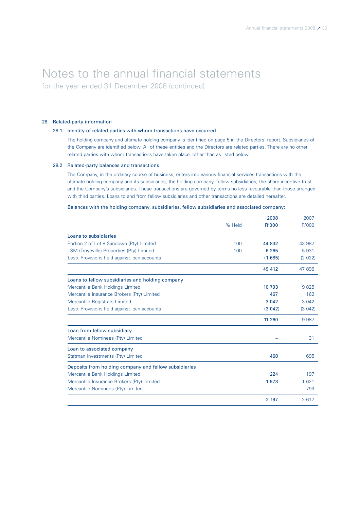for the year ended 31 December 2008 (continued)

### 28. Related-party information

### 28.1 Identity of related parties with whom transactions have occurred

The holding company and ultimate holding company is identified on page 5 in the Directors' report. Subsidiaries of the Company are identified below. All of these entities and the Directors are related parties. There are no other related parties with whom transactions have taken place, other than as listed below.

### 28.2 Related-party balances and transactions

The Company, in the ordinary course of business, enters into various financial services transactions with the ultimate holding company and its subsidiaries, the holding company, fellow subsidiaries, the share incentive trust and the Company's subsidiaries. These transactions are governed by terms no less favourable than those arranged with third parties. Loans to and from fellow subsidiaries and other transactions are detailed hereafter.

#### Balances with the holding company, subsidiaries, fellow subsidiaries and associated company:

|                                                       |        | 2008    | 2007    |
|-------------------------------------------------------|--------|---------|---------|
|                                                       | % Held | R'000   | R'000   |
| Loans to subsidiaries                                 |        |         |         |
| Portion 2 of Lot 8 Sandown (Pty) Limited              | 100    | 44 832  | 43 987  |
| LSM (Troyeville) Properties (Pty) Limited             | 100    | 6 2 6 5 | 5 9 3 1 |
| Less: Provisions held against loan accounts           |        | (1685)  | (2 022) |
|                                                       |        | 49 4 12 | 47 896  |
| Loans to fellow subsidiaries and holding company      |        |         |         |
| Mercantile Bank Holdings Limited                      |        | 10 793  | 9825    |
| Mercantile Insurance Brokers (Pty) Limited            |        | 467     | 162     |
| Mercantile Registrars Limited                         |        | 3 0 4 2 | 3 0 4 2 |
| Less: Provisions held against loan accounts           |        | (3042)  | (3042)  |
|                                                       |        | 11 260  | 9 9 8 7 |
| Loan from fellow subsidiary                           |        |         |         |
| Mercantile Nominees (Pty) Limited                     |        |         | 31      |
| Loan to associated company                            |        |         |         |
| Statman Investments (Pty) Limited                     |        | 468     | 695     |
| Deposits from holding company and fellow subsidiaries |        |         |         |
| Mercantile Bank Holdings Limited                      |        | 224     | 197     |
| Mercantile Insurance Brokers (Pty) Limited            |        | 1973    | 1 621   |
| Mercantile Nominees (Pty) Limited                     |        |         | 799     |
|                                                       |        | 2 197   | 2617    |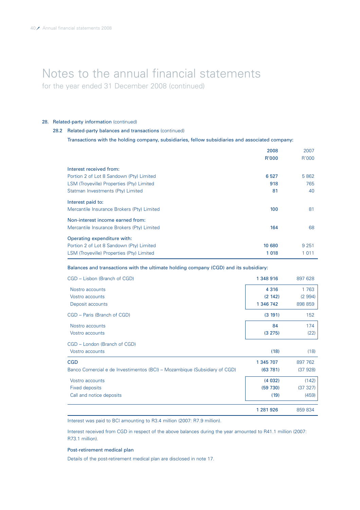for the year ended 31 December 2008 (continued)

### 28. Related-party information (continued)

### 28.2 Related-party balances and transactions (continued)

Transactions with the holding company, subsidiaries, fellow subsidiaries and associated company:

|                                            | 2008    | 2007    |
|--------------------------------------------|---------|---------|
|                                            | R'000   | R'000   |
| Interest received from:                    |         |         |
| Portion 2 of Lot 8 Sandown (Pty) Limited   | 6 5 2 7 | 5862    |
| LSM (Troyeville) Properties (Pty) Limited  | 918     | 765     |
| Statman Investments (Pty) Limited          | 81      | 40      |
| Interest paid to:                          |         |         |
| Mercantile Insurance Brokers (Pty) Limited | 100     | 81      |
| Non-interest income earned from:           |         |         |
| Mercantile Insurance Brokers (Pty) Limited | 164     | 68      |
| Operating expenditure with:                |         |         |
| Portion 2 of Lot 8 Sandown (Pty) Limited   | 10 680  | 9 2 5 1 |
| LSM (Troyeville) Properties (Pty) Limited  | 1 0 1 8 | 1 0 1 1 |

Balances and transactions with the ultimate holding company (CGD) and its subsidiary:

| CGD - Lisbon (Branch of CGD)                                              | 1 348 916 | 897 628  |
|---------------------------------------------------------------------------|-----------|----------|
| Nostro accounts                                                           | 4 3 1 6   | 1 763    |
| Vostro accounts                                                           | (2 142)   | (2994)   |
| Deposit accounts                                                          | 1 346 742 | 898 859  |
| CGD - Paris (Branch of CGD)                                               | (3 191)   | 152      |
| Nostro accounts                                                           | 84        | 174      |
| Vostro accounts                                                           | (3 275)   | (22)     |
| CGD - London (Branch of CGD)                                              |           |          |
| Vostro accounts                                                           | (18)      | (18)     |
| <b>CGD</b>                                                                | 1 345 707 | 897 762  |
| Banco Comercial e de Investimentos (BCI) – Mozambique (Subsidiary of CGD) | (63781)   | (37928)  |
| Vostro accounts                                                           | (4032)    | (142)    |
| <b>Fixed deposits</b>                                                     | (59730)   | (37 327) |
| Call and notice deposits                                                  | (19)      | (459)    |
|                                                                           | 1 281 926 | 859 834  |

Interest was paid to BCI amounting to R3.4 million (2007: R7.9 million).

Interest received from CGD in respect of the above balances during the year amounted to R41.1 million (2007: R73.1 million).

### Post-retirement medical plan

Details of the post-retirement medical plan are disclosed in note 17.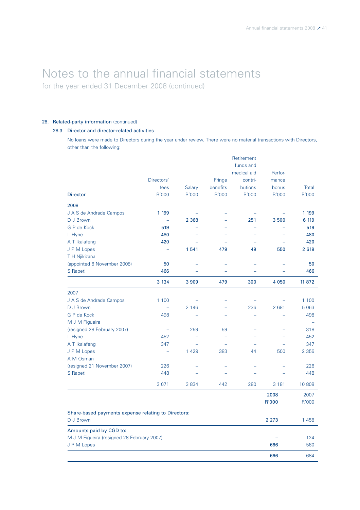for the year ended 31 December 2008 (continued)

### 28. Related-party information (continued)

### 28.3 Director and director-related activities

No loans were made to Directors during the year under review. There were no material transactions with Directors, other than the following:

|                                                     |            |         |                          | Retirement  |         |         |
|-----------------------------------------------------|------------|---------|--------------------------|-------------|---------|---------|
|                                                     |            |         |                          | funds and   |         |         |
|                                                     |            |         |                          | medical aid | Perfor- |         |
|                                                     | Directors' |         | Fringe                   | contri-     | mance   |         |
|                                                     | fees       | Salary  | benefits                 | butions     | bonus   | Total   |
| <b>Director</b>                                     | R'000      | R'000   | R'000                    | R'000       | R'000   | R'000   |
| 2008                                                |            |         |                          |             |         |         |
| J A S de Andrade Campos                             | 1 199      |         |                          |             |         | 1 199   |
| D J Brown                                           |            | 2 3 6 8 |                          | 251         | 3500    | 6 119   |
| G P de Kock                                         | 519        |         |                          |             |         | 519     |
| L Hyne                                              | 480        |         |                          |             |         | 480     |
| A T Ikalafeng                                       | 420        |         |                          |             |         | 420     |
| J P M Lopes                                         |            | 1541    | 479                      | 49          | 550     | 2 6 19  |
| T H Njikizana                                       |            |         |                          |             |         |         |
| (appointed 6 November 2008)                         | 50         |         |                          |             |         | 50      |
| S Rapeti                                            | 466        |         |                          |             |         | 466     |
|                                                     | 3 1 3 4    | 3 9 0 9 | 479                      | 300         | 4 0 5 0 | 11 872  |
| 2007                                                |            |         |                          |             |         |         |
| J A S de Andrade Campos                             | 1 100      | ÷       |                          |             |         | 1 100   |
| D J Brown                                           |            | 2 1 4 6 |                          | 236         | 2 681   | 5 0 63  |
| G P de Kock                                         | 498        |         |                          |             |         | 498     |
| M J M Figueira                                      |            |         |                          |             |         |         |
| (resigned 28 February 2007)                         | $\equiv$   | 259     | 59                       |             |         | 318     |
| L Hyne                                              | 452        |         | $\overline{\phantom{0}}$ |             |         | 452     |
| A T Ikalafeng                                       | 347        |         |                          |             |         | 347     |
| J P M Lopes                                         |            | 1 4 2 9 | 383                      | 44          | 500     | 2 3 5 6 |
| A M Osman                                           |            |         |                          |             |         |         |
| (resigned 21 November 2007)                         | 226        |         |                          |             |         | 226     |
| S Rapeti                                            | 448        |         |                          |             |         | 448     |
|                                                     | 3 0 7 1    | 3834    | 442                      | 280         | 3 1 8 1 | 10 808  |
|                                                     |            |         |                          |             | 2008    | 2007    |
|                                                     |            |         |                          |             | R'000   | R'000   |
| Share-based payments expense relating to Directors: |            |         |                          |             |         |         |
| D J Brown                                           |            |         |                          |             | 2 2 7 3 | 1 4 5 8 |
| Amounts paid by CGD to:                             |            |         |                          |             |         |         |
| M J M Figueira (resigned 28 February 2007)          |            |         |                          |             |         | 124     |
| J P M Lopes                                         |            |         |                          |             | 666     | 560     |
|                                                     |            |         |                          |             | 666     | 684     |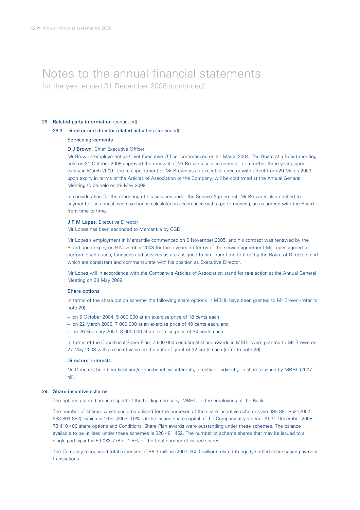for the year ended 31 December 2008 (continued)

### 28. Related-party information (continued)

### 28.3 Director and director-related activities (continued)

### Service agreements

### D J Brown, Chief Executive Officer

Mr Brown's employment as Chief Executive Officer commenced on 31 March 2004. The Board at a Board meeting held on 31 October 2008 approved the renewal of Mr Brown's service contract for a further three years, upon expiry in March 2009. The re-appointment of Mr Brown as an executive director with effect from 29 March 2009 upon expiry in terms of the Articles of Association of the Company, will be confirmed at the Annual General Meeting to be held on 28 May 2009.

In consideration for the rendering of his services under the Service Agreement, Mr Brown is also entitled to payment of an annual incentive bonus calculated in accordance with a performance plan as agreed with the Board from time to time.

### J P M Lopes, Executive Director

Mr Lopes has been seconded to Mercantile by CGD.

Mr Lopes's employment in Mercantile commenced on 9 November 2005, and his contract was renewed by the Board upon expiry on 9 November 2008 for three years. In terms of the service agreement Mr Lopes agreed to perform such duties, functions and services as are assigned to him from time to time by the Board of Directors and which are consistent and commensurate with his position as Executive Director.

Mr Lopes will in accordance with the Company's Articles of Association stand for re-election at the Annual General Meeting on 28 May 2009.

### Share options

In terms of the share option scheme the following share options in MBHL have been granted to Mr Brown (refer to note 29):

– on 5 October 2004, 5 000 000 at an exercise price of 18 cents each;

- on 22 March 2006, 7 000 000 at an exercise price of 40 cents each; and
- on 26 February 2007, 8 000 000 at an exercise price of 34 cents each.

In terms of the Conditional Share Plan, 7 600 000 conditional share awards in MBHL were granted to Mr Brown on 27 May 2008 with a market value on the date of grant of 32 cents each (refer to note 29).

### Directors' interests

No Directors held beneficial and/or non-beneficial interests, directly or indirectly, in shares issued by MBHL (2007: nil).

### 29. Share incentive scheme

The options granted are in respect of the holding company, MBHL, to the employees of the Bank.

The number of shares, which could be utilised for the purposes of the share incentive schemes are 393 891 852 (2007: 393 891 852), which is 10% (2007: 10%) of the issued share capital of the Company at year-end. At 31 December 2008, 73 410 400 share options and Conditional Share Plan awards were outstanding under these schemes. The balance available to be utilised under these schemes is 320 481 452. The number of scheme shares that may be issued to a single participant is 59 083 778 or 1.5% of the total number of issued shares.

The Company recognised total expenses of R8.3 million (2007: R4.0 million) related to equity-settled share-based payment transactions.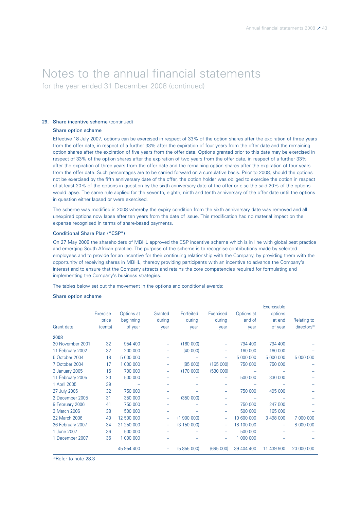for the year ended 31 December 2008 (continued)

### 29. Share incentive scheme (continued)

### Share option scheme

Effective 18 July 2007, options can be exercised in respect of 33% of the option shares after the expiration of three years from the offer date, in respect of a further 33% after the expiration of four years from the offer date and the remaining option shares after the expiration of five years from the offer date. Options granted prior to this date may be exercised in respect of 33% of the option shares after the expiration of two years from the offer date, in respect of a further 33% after the expiration of three years from the offer date and the remaining option shares after the expiration of four years from the offer date. Such percentages are to be carried forward on a cumulative basis. Prior to 2008, should the options not be exercised by the fifth anniversary date of the offer, the option holder was obliged to exercise the option in respect of at least 20% of the options in question by the sixth anniversary date of the offer or else the said 20% of the options would lapse. The same rule applied for the seventh, eighth, ninth and tenth anniversary of the offer date until the options in question either lapsed or were exercised.

The scheme was modified in 2008 whereby the expiry condition from the sixth anniversary date was removed and all unexpired options now lapse after ten years from the date of issue. This modification had no material impact on the expense recognised in terms of share-based payments.

#### Conditional Share Plan ("CSP")

On 27 May 2008 the shareholders of MBHL approved the CSP incentive scheme which is in line with global best practice and emerging South African practice. The purpose of the scheme is to recognise contributions made by selected employees and to provide for an incentive for their continuing relationship with the Company, by providing them with the opportunity of receiving shares in MBHL, thereby providing participants with an incentive to advance the Company's interest and to ensure that the Company attracts and retains the core competencies required for formulating and implementing the Company's business strategies.

The tables below set out the movement in the options and conditional awards:

### Share option scheme

| 1 June 2007<br>1 December 2007 | 36<br>36 | 500 000<br>1 000 000<br>45 954 400 |                          | (5855000)   | (695 000) | 500 000<br>1 000 000<br>39 404 400 | 11 439 900  | 20 000 000               |
|--------------------------------|----------|------------------------------------|--------------------------|-------------|-----------|------------------------------------|-------------|--------------------------|
| 26 February 2007               | 34       | 21 250 000                         | $\overline{\phantom{0}}$ | (3 150 000) |           | 18 100 000                         |             | 8 000 000                |
| 22 March 2006                  | 40       | 12 500 000                         | -                        | (1900000)   |           | 10 600 000                         | 3 498 000   | 7 000 000                |
| 3 March 2006                   | 38       | 500 000                            |                          |             | -         | 500 000                            | 165 000     |                          |
| 9 February 2006                | 41       | 750 000                            |                          |             |           | 750 000                            | 247 500     |                          |
| 2 December 2005                | 31       | 350 000                            | -                        | (350 000)   |           |                                    |             |                          |
| 27 July 2005                   | 32       | 750 000                            |                          |             |           | 750 000                            | 495 000     |                          |
| 1 April 2005                   | 39       |                                    |                          |             |           |                                    |             |                          |
| 11 February 2005               | 20       | 500 000                            |                          |             |           | 500 000                            | 330 000     |                          |
| 3 January 2005                 | 15       | 700 000                            | -                        | (170000)    | (530000)  |                                    |             |                          |
| 7 October 2004                 | 17       | 1 000 000                          | -                        | (85 000)    | (165000)  | 750 000                            | 750 000     |                          |
| 5 October 2004                 | 18       | 5 000 000                          |                          |             |           | 5 000 000                          | 5 000 000   | 5 000 000                |
| 11 February 2002               | 32       | 200 000                            |                          | (40 000)    | -         | 160 000                            | 160 000     |                          |
| 2008<br>20 November 2001       | 32       | 954 400                            |                          | (160000)    |           | 794 400                            | 794 400     |                          |
| Grant date                     | (cents)  | of year                            | vear                     | year        | year      | vear                               | of year     | directors <sup>(1)</sup> |
|                                | price    | beginning                          | during                   | during      | during    | end of                             | at end      | Relating to              |
|                                | Exercise | Options at                         | Granted                  | Forfeited   | Exercised | Options at                         | options     |                          |
|                                |          |                                    |                          |             |           |                                    | Exercisable |                          |

(1)Refer to note 28.3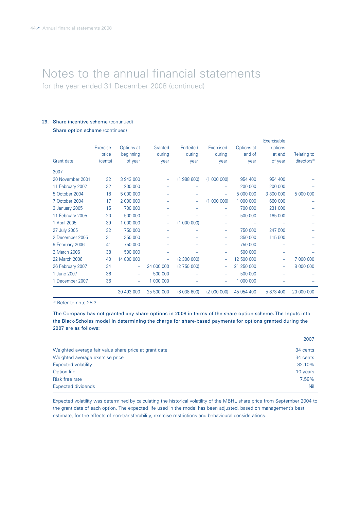for the year ended 31 December 2008 (continued)

### 29. Share incentive scheme (continued)

Share option scheme (continued)

|                   |          |                          |                          |                          |                          |            | Exercisable |                          |
|-------------------|----------|--------------------------|--------------------------|--------------------------|--------------------------|------------|-------------|--------------------------|
|                   | Exercise | Options at               | Granted                  | Forfeited                | <b>Exercised</b>         | Options at | options     |                          |
|                   | price    | beginning                | during                   | during                   | during                   | end of     | at end      | Relating to              |
| <b>Grant</b> date | (cents)  | of year                  | year                     | year                     | year                     | vear       | of year     | directors <sup>(1)</sup> |
| 2007              |          |                          |                          |                          |                          |            |             |                          |
| 20 November 2001  | 32       | 3 943 000                | $\overline{\phantom{0}}$ | (1988600)                | (1 000 000)              | 954 400    | 954 400     |                          |
| 11 February 2002  | 32       | 200 000                  |                          |                          |                          | 200 000    | 200 000     |                          |
| 5 October 2004    | 18       | 5 000 000                |                          |                          |                          | 5 000 000  | 3 300 000   | 5 000 000                |
| 7 October 2004    | 17       | 2 000 000                |                          | $\overline{\phantom{0}}$ | (1 000 000)              | 1 000 000  | 660 000     |                          |
| 3 January 2005    | 15       | 700 000                  |                          |                          |                          | 700 000    | 231 000     |                          |
| 11 February 2005  | 20       | 500 000                  |                          |                          |                          | 500 000    | 165 000     |                          |
| 1 April 2005      | 39       | 1 000 000                | -                        | (1000000)                |                          |            |             |                          |
| 27 July 2005      | 32       | 750 000                  |                          |                          | -                        | 750 000    | 247 500     |                          |
| 2 December 2005   | 31       | 350 000                  |                          |                          |                          | 350 000    | 115 500     |                          |
| 9 February 2006   | 41       | 750 000                  |                          |                          |                          | 750 000    |             |                          |
| 3 March 2006      | 38       | 500 000                  |                          |                          | $\overline{\phantom{0}}$ | 500 000    |             |                          |
| 22 March 2006     | 40       | 14 800 000               | -                        | (2, 300, 000)            |                          | 12 500 000 |             | 7 000 000                |
| 26 February 2007  | 34       | -                        | 24 000 000               | (2750000)                |                          | 21 250 000 |             | 8 000 000                |
| 1 June 2007       | 36       | -                        | 500 000                  |                          |                          | 500 000    |             |                          |
| 1 December 2007   | 36       | $\overline{\phantom{0}}$ | 1 000 000                |                          |                          | 1 000 000  |             |                          |
|                   |          | 30 493 000               | 25 500 000               | (8038600)                | (2000000)                | 45 954 400 | 5 873 400   | 20 000 000               |

(1) Refer to note 28.3

The Company has not granted any share options in 2008 in terms of the share option scheme. The Inputs into the Black-Scholes model in determining the charge for share-based payments for options granted during the 2007 are as follows:

|                                                       | 2007     |
|-------------------------------------------------------|----------|
| Weighted average fair value share price at grant date | 34 cents |
| Weighted average exercise price                       | 34 cents |
| Expected volatility                                   | 82.10%   |
| Option life                                           | 10 years |
| Risk free rate                                        | 7,58%    |
| Expected dividends                                    | Nil      |

Expected volatility was determined by calculating the historical volatility of the MBHL share price from September 2004 to the grant date of each option. The expected life used in the model has been adjusted, based on management's best estimate, for the effects of non-transferability, exercise restrictions and behavioural considerations.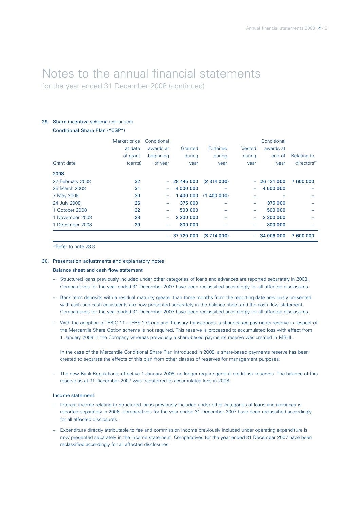for the year ended 31 December 2008 (continued)

### 29. Share incentive scheme (continued)

Conditional Share Plan ("CSP")

| Grant date       | Market price<br>at date<br>of grant<br>(cents) | Conditional<br>awards at<br>beginning<br>of year | Granted<br>during<br>year | Forfeited<br>during<br>year | Vested<br>during<br>year | Conditional<br>awards at<br>end of<br>year | Relating to<br>directors <sup>(1)</sup> |
|------------------|------------------------------------------------|--------------------------------------------------|---------------------------|-----------------------------|--------------------------|--------------------------------------------|-----------------------------------------|
| 2008             |                                                |                                                  |                           |                             |                          |                                            |                                         |
|                  |                                                |                                                  |                           |                             |                          |                                            |                                         |
| 22 February 2008 | 32                                             |                                                  | $-28445000$               | (2314000)                   |                          | 26 131 000                                 | 7 600 000                               |
| 26 March 2008    | 31                                             | -                                                | 4 000 000                 |                             |                          | 4 000 000                                  |                                         |
| 7 May 2008       | 30                                             | $\overline{\phantom{0}}$                         | 1 400 000                 | (1400000)                   |                          |                                            |                                         |
| 24 July 2008     | 26                                             | $\overline{\phantom{0}}$                         | 375 000                   |                             |                          | 375 000                                    |                                         |
| 1 October 2008   | 32                                             | $\overline{\phantom{0}}$                         | 500 000                   |                             |                          | 500 000                                    |                                         |
| 1 November 2008  | 28                                             | $\overline{\phantom{0}}$                         | 2 200 000                 |                             |                          | 2 200 000                                  |                                         |
| 1 December 2008  | 29                                             | $\overline{\phantom{0}}$                         | 800 000                   |                             |                          | 800 000                                    |                                         |
|                  |                                                |                                                  | $-37720000$               | (3714000)                   | $\sim$                   | 34 006 000                                 | 7 600 000                               |

(1)Refer to note 28.3

### 30. Presentation adjustments and explanatory notes

### Balance sheet and cash flow statement

- Structured loans previously included under other categories of loans and advances are reported separately in 2008. Comparatives for the year ended 31 December 2007 have been reclassified accordingly for all affected disclosures.
- Bank term deposits with a residual maturity greater than three months from the reporting date previously presented with cash and cash equivalents are now presented separately in the balance sheet and the cash flow statement. Comparatives for the year ended 31 December 2007 have been reclassified accordingly for all affected disclosures.
- With the adoption of IFRIC 11 IFRS 2 Group and Treasury transactions, a share-based payments reserve in respect of the Mercantile Share Option scheme is not required. This reserve is processed to accumulated loss with effect from 1 January 2008 in the Company whereas previously a share-based payments reserve was created in MBHL.

In the case of the Mercantile Conditional Share Plan introduced in 2008, a share-based payments reserve has been created to separate the effects of this plan from other classes of reserves for management purposes.

– The new Bank Regulations, effective 1 January 2008, no longer require general credit-risk reserves. The balance of this reserve as at 31 December 2007 was transferred to accumulated loss in 2008.

#### Income statement

- Interest income relating to structured loans previously included under other categories of loans and advances is reported separately in 2008. Comparatives for the year ended 31 December 2007 have been reclassified accordingly for all affected disclosures.
- Expenditure directly attributable to fee and commission income previously included under operating expenditure is now presented separately in the income statement. Comparatives for the year ended 31 December 2007 have been reclassified accordingly for all affected disclosures.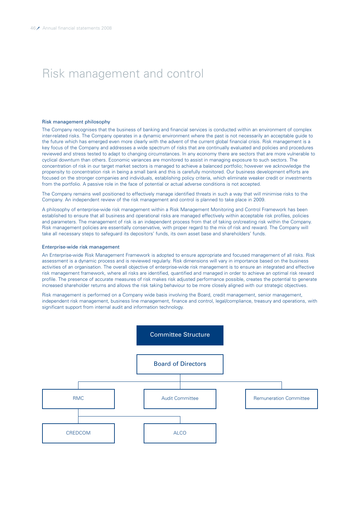### Risk management and control

#### Risk management philosophy

The Company recognises that the business of banking and financial services is conducted within an environment of complex inter-related risks. The Company operates in a dynamic environment where the past is not necessarily an acceptable guide to the future which has emerged even more clearly with the advent of the current global financial crisis. Risk management is a key focus of the Company and addresses a wide spectrum of risks that are continually evaluated and policies and procedures reviewed and stress tested to adapt to changing circumstances. In any economy there are sectors that are more vulnerable to cyclical downturn than others. Economic variances are monitored to assist in managing exposure to such sectors. The concentration of risk in our target market sectors is managed to achieve a balanced portfolio; however we acknowledge the propensity to concentration risk in being a small bank and this is carefully monitored. Our business development efforts are focused on the stronger companies and individuals, establishing policy criteria, which eliminate weaker credit or investments from the portfolio. A passive role in the face of potential or actual adverse conditions is not accepted.

The Company remains well positioned to effectively manage identified threats in such a way that will minimise risks to the Company. An independent review of the risk management and control is planned to take place in 2009.

A philosophy of enterprise-wide risk management within a Risk Management Monitoring and Control Framework has been established to ensure that all business and operational risks are managed effectively within acceptable risk profiles, policies and parameters. The management of risk is an independent process from that of taking on/creating risk within the Company. Risk management policies are essentially conservative, with proper regard to the mix of risk and reward. The Company will take all necessary steps to safeguard its depositors' funds, its own asset base and shareholders' funds.

#### Enterprise-wide risk management

An Enterprise-wide Risk Management Framework is adopted to ensure appropriate and focused management of all risks. Risk assessment is a dynamic process and is reviewed regularly. Risk dimensions will vary in importance based on the business activities of an organisation. The overall objective of enterprise-wide risk management is to ensure an integrated and effective risk management framework, where all risks are identified, quantified and managed in order to achieve an optimal risk reward profile. The presence of accurate measures of risk makes risk adjusted performance possible, creates the potential to generate increased shareholder returns and allows the risk taking behaviour to be more closely aligned with our strategic objectives.

Risk management is performed on a Company wide basis involving the Board, credit management, senior management, independent risk management, business line management, finance and control, legal/compliance, treasury and operations, with significant support from internal audit and information technology.

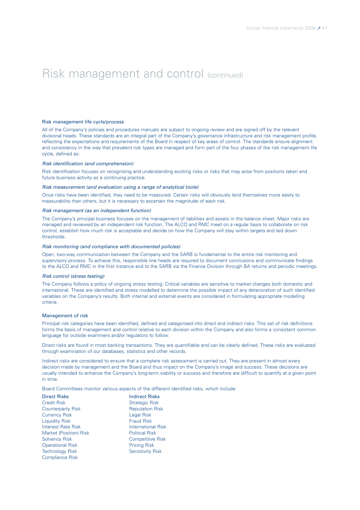#### Risk management life cycle/process

All of the Company's policies and procedures manuals are subject to ongoing review and are signed off by the relevant divisional heads. These standards are an integral part of the Company's governance infrastructure and risk management profile, reflecting the expectations and requirements of the Board in respect of key areas of control. The standards ensure alignment and consistency in the way that prevalent risk types are managed and form part of the four phases of the risk management life cycle, defined as:

### Risk identification (and comprehension)

Risk identification focuses on recognising and understanding existing risks or risks that may arise from positions taken and future business activity as a continuing practice.

### Risk measurement (and evaluation using a range of analytical tools)

Once risks have been identified, they need to be measured. Certain risks will obviously lend themselves more easily to measurability than others, but it is necessary to ascertain the magnitude of each risk.

### Risk management (as an independent function)

The Company's principal business focuses on the management of liabilities and assets in the balance sheet. Major risks are managed and reviewed by an independent risk function. The ALCO and RMC meet on a regular basis to collaborate on risk control, establish how much risk is acceptable and decide on how the Company will stay within targets and laid down thresholds.

#### Risk monitoring (and compliance with documented policies)

Open, two-way communication between the Company and the SARB is fundamental to the entire risk monitoring and supervisory process. To achieve this, responsible line heads are required to document conclusions and communicate findings to the ALCO and RMC in the first instance and to the SARB via the Finance Division through BA returns and periodic meetings.

### Risk control (stress testing)

The Company follows a policy of ongoing stress testing. Critical variables are sensitive to market changes both domestic and international. These are identified and stress modelled to determine the possible impact of any deterioration of such identified variables on the Company's results. Both internal and external events are considered in formulating appropriate modelling criteria.

#### Management of risk

Principal risk categories have been identified, defined and categorised into direct and indirect risks. This set of risk definitions forms the basis of management and control relative to each division within the Company and also forms a consistent common language for outside examiners and/or regulators to follow.

Direct risks are found in most banking transactions. They are quantifiable and can be clearly defined. These risks are evaluated through examination of our databases, statistics and other records.

Indirect risks are considered to ensure that a complete risk assessment is carried out. They are present in almost every decision made by management and the Board and thus impact on the Company's image and success. These decisions are usually intended to enhance the Company's long-term viability or success and therefore are difficult to quantify at a given point in time.

Board Committees monitor various aspects of the different identified risks, which include:

| <b>Direct Risks</b>       | <b>Indirect Risks</b>     |
|---------------------------|---------------------------|
| <b>Credit Risk</b>        | <b>Strategic Risk</b>     |
| <b>Counterparty Risk</b>  | <b>Reputation Risk</b>    |
| <b>Currency Risk</b>      | <b>Legal Risk</b>         |
| <b>Liquidity Risk</b>     | <b>Fraud Risk</b>         |
| <b>Interest Rate Risk</b> | <b>International Risk</b> |
| Market (Position) Risk    | <b>Political Risk</b>     |
| <b>Solvency Risk</b>      | Competitive Risk          |
| <b>Operational Risk</b>   | <b>Pricing Risk</b>       |
| <b>Technology Risk</b>    | <b>Sensitivity Risk</b>   |
| Compliance Risk           |                           |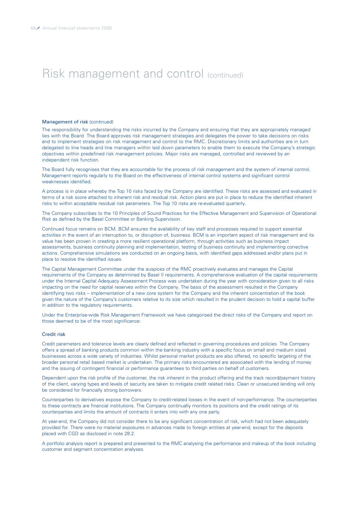### Management of risk (continued)

The responsibility for understanding the risks incurred by the Company and ensuring that they are appropriately managed lies with the Board. The Board approves risk management strategies and delegates the power to take decisions on risks and to implement strategies on risk management and control to the RMC. Discretionary limits and authorities are in turn delegated to line heads and line managers within laid down parameters to enable them to execute the Company's strategic objectives within predefined risk management policies. Major risks are managed, controlled and reviewed by an independent risk function.

The Board fully recognises that they are accountable for the process of risk management and the system of internal control. Management reports regularly to the Board on the effectiveness of internal control systems and significant control weaknesses identified.

A process is in place whereby the Top 10 risks faced by the Company are identified. These risks are assessed and evaluated in terms of a risk score attached to inherent risk and residual risk. Action plans are put in place to reduce the identified inherent risks to within acceptable residual risk parameters. The Top 10 risks are re-evaluated quarterly.

The Company subscribes to the 10 Principles of Sound Practices for the Effective Management and Supervision of Operational Risk as defined by the Basel Committee or Banking Supervision.

Continued focus remains on BCM. BCM ensures the availability of key staff and processes required to support essential activities in the event of an interruption to, or disruption of, business. BCM is an important aspect of risk management and its value has been proven in creating a more resilient operational platform, through activities such as business impact assessments, business continuity planning and implementation, testing of business continuity and implementing corrective actions. Comprehensive simulations are conducted on an ongoing basis, with identified gaps addressed and/or plans put in place to resolve the identified issues.

The Capital Management Committee under the auspices of the RMC proactively evaluates and manages the Capital requirements of the Company as determined by Basel II requirements. A comprehensive evaluation of the capital requirements under the Internal Capital Adequacy Assessment Process was undertaken during the year with consideration given to all risks impacting on the need for capital reserves within the Company. The basis of the assessment resulted in the Company identifying two risks – implementation of a new core system for the Company and the inherent concentration of the book given the nature of the Company's customers relative to its size which resulted in the prudent decision to hold a capital buffer in addition to the regulatory requirements.

Under the Enterprise-wide Risk Management Framework we have categorised the direct risks of the Company and report on those deemed to be of the most significance:

### Credit risk

Credit parameters and tolerance levels are clearly defined and reflected in governing procedures and policies. The Company offers a spread of banking products common within the banking industry with a specific focus on small and medium sized businesses across a wide variety of industries. Whilst personal market products are also offered, no specific targeting of the broader personal retail based market is undertaken. The primary risks encountered are associated with the lending of money and the issuing of contingent financial or performance guarantees to third parties on behalf of customers.

Dependent upon the risk profile of the customer, the risk inherent in the product offering and the track record/payment history of the client, varying types and levels of security are taken to mitigate credit related risks. Clean or unsecured lending will only be considered for financially strong borrowers.

Counterparties to derivatives expose the Company to credit-related losses in the event of non-performance. The counterparties to these contracts are financial institutions. The Company continually monitors its positions and the credit ratings of its counterparties and limits the amount of contracts it enters into with any one party.

At year-end, the Company did not consider there to be any significant concentration of risk, which had not been adequately provided for. There were no material exposures in advances made to foreign entities at year-end, except for the deposits placed with CGD as disclosed in note 28.2.

A portfolio analysis report is prepared and presented to the RMC analysing the performance and makeup of the book including customer and segment concentration analyses.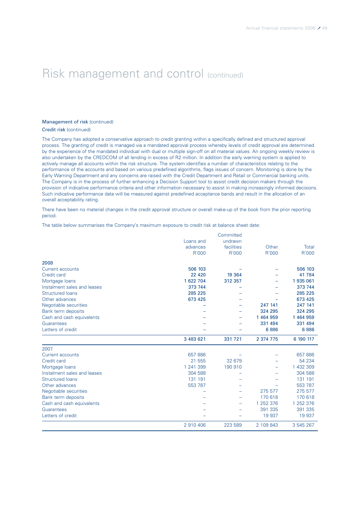### Management of risk (continued)

### Credit risk (continued)

The Company has adopted a conservative approach to credit granting within a specifically defined and structured approval process. The granting of credit is managed via a mandated approval process whereby levels of credit approval are determined by the experience of the mandated individual with dual or multiple sign-off on all material values. An ongoing weekly review is also undertaken by the CREDCOM of all lending in excess of R2 million. In addition the early warning system is applied to actively manage all accounts within the risk structure. The system identifies a number of characteristics relating to the performance of the accounts and based on various predefined algorithms, flags issues of concern. Monitoring is done by the Early Warning Department and any concerns are raised with the Credit Department and Retail or Commercial banking units. The Company is in the process of further enhancing a Decision Support tool to assist credit decision makers through the provision of indicative performance criteria and other information necessary to assist in making increasingly informed decisions. Such indicative performance data will be measured against predefined acceptance bands and result in the allocation of an overall acceptability rating.

There have been no material changes in the credit approval structure or overall make-up of the book from the prior reporting period.

The table below summarises the Company's maximum exposure to credit risk at balance sheet date:

|                             |           | Committed  |           |           |
|-----------------------------|-----------|------------|-----------|-----------|
|                             | Loans and | undrawn    |           |           |
|                             | advances  | facilities | Other     | Total     |
|                             | R'000     | R'000      | R'000     | R'000     |
| 2008                        |           |            |           |           |
| Current accounts            | 506 103   |            |           | 506 103   |
| Credit card                 | 22 4 20   | 19 3 64    |           | 41784     |
| Mortgage loans              | 1 622 704 | 312 357    |           | 1935061   |
| Instalment sales and leases | 373 744   |            |           | 373 744   |
| <b>Structured loans</b>     | 285 225   |            |           | 285 225   |
| Other advances              | 673 425   |            |           | 673 425   |
| Negotiable securities       |           |            | 247 141   | 247 141   |
| Bank term deposits          |           |            | 324 295   | 324 295   |
| Cash and cash equivalents   |           |            | 1 464 959 | 1 464 959 |
| Guarantees                  |           |            | 331 494   | 331 494   |
| Letters of credit           |           |            | 6886      | 6886      |
|                             | 3 483 621 | 331 721    | 2 374 775 | 6 190 117 |
| 2007                        |           |            |           |           |
| <b>Current accounts</b>     | 657 886   |            |           | 657 886   |
| Credit card                 | 21 555    | 32 679     |           | 54 234    |
| Mortgage loans              | 1 241 399 | 190 910    |           | 1 432 309 |
| Instalment sales and leases | 304 588   |            |           | 304 588   |
| <b>Structured loans</b>     | 131 191   |            |           | 131 191   |
| Other advances              | 553 787   |            |           | 553 787   |
| Negotiable securities       |           |            | 275 577   | 275 577   |
| Bank term deposits          |           |            | 170 618   | 170 618   |
| Cash and cash equivalents   |           |            | 1 252 376 | 1 252 376 |
| Guarantees                  |           |            | 391 335   | 391 335   |
| Letters of credit           |           |            | 19 937    | 19 937    |
|                             | 2 910 406 | 223 589    | 2 109 843 | 3 545 267 |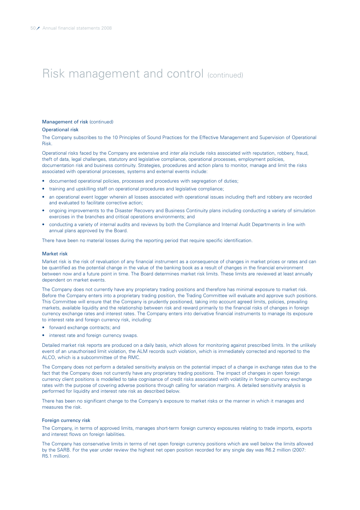### Management of risk (continued)

### Operational risk

The Company subscribes to the 10 Principles of Sound Practices for the Effective Management and Supervision of Operational Risk.

Operational risks faced by the Company are extensive and inter alia include risks associated with reputation, robbery, fraud, theft of data, legal challenges, statutory and legislative compliance, operational processes, employment policies, documentation risk and business continuity. Strategies, procedures and action plans to monitor, manage and limit the risks associated with operational processes, systems and external events include:

- documented operational policies, processes and procedures with segregation of duties;
- training and upskilling staff on operational procedures and legislative compliance;
- an operational event logger wherein all losses associated with operational issues including theft and robbery are recorded and evaluated to facilitate corrective action;
- ongoing improvements to the Disaster Recovery and Business Continuity plans including conducting a variety of simulation exercises in the branches and critical operations environments; and
- conducting a variety of internal audits and reviews by both the Compliance and Internal Audit Departments in line with annual plans approved by the Board.

There have been no material losses during the reporting period that require specific identification.

#### Market risk

Market risk is the risk of revaluation of any financial instrument as a consequence of changes in market prices or rates and can be quantified as the potential change in the value of the banking book as a result of changes in the financial environment between now and a future point in time. The Board determines market risk limits. These limits are reviewed at least annually dependent on market events.

The Company does not currently have any proprietary trading positions and therefore has minimal exposure to market risk. Before the Company enters into a proprietary trading position, the Trading Committee will evaluate and approve such positions. This Committee will ensure that the Company is prudently positioned, taking into account agreed limits, policies, prevailing markets, available liquidity and the relationship between risk and reward primarily to the financial risks of changes in foreign currency exchange rates and interest rates. The Company enters into derivative financial instruments to manage its exposure to interest rate and foreign currency risk, including:

- forward exchange contracts; and
- interest rate and foreign currency swaps.

Detailed market risk reports are produced on a daily basis, which allows for monitoring against prescribed limits. In the unlikely event of an unauthorised limit violation, the ALM records such violation, which is immediately corrected and reported to the ALCO, which is a subcommittee of the RMC.

The Company does not perform a detailed sensitivity analysis on the potential impact of a change in exchange rates due to the fact that the Company does not currently have any proprietary trading positions. The impact of changes in open foreign currency client positions is modelled to take cognisance of credit risks associated with volatility in foreign currency exchange rates with the purpose of covering adverse positions through calling for variation margins. A detailed sensitivity analysis is performed for liquidity and interest rate risk as described below.

There has been no significant change to the Company's exposure to market risks or the manner in which it manages and measures the risk.

### Foreign currency risk

The Company, in terms of approved limits, manages short-term foreign currency exposures relating to trade imports, exports and interest flows on foreign liabilities.

The Company has conservative limits in terms of net open foreign currency positions which are well below the limits allowed by the SARB. For the year under review the highest net open position recorded for any single day was R6.2 million (2007: R5.1 million).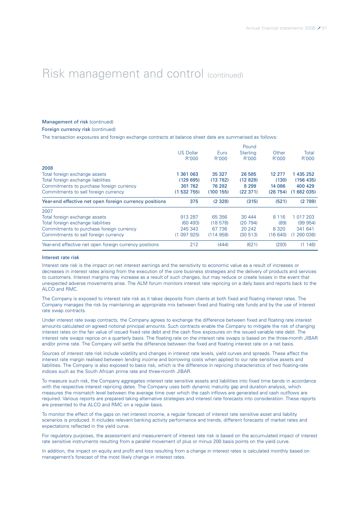### Management of risk (continued)

### Foreign currency risk (continued)

The transaction exposures and foreign exchange contracts at balance sheet date are summarised as follows:

|                                                        |                  |          | Pound    |         |                |
|--------------------------------------------------------|------------------|----------|----------|---------|----------------|
|                                                        | <b>US Dollar</b> | Euro     | Sterling | Other   | Total          |
|                                                        | R'000            | R'000    | R'000    | R'000   | R'000          |
| 2008                                                   |                  |          |          |         |                |
| Total foreign exchange assets                          | 1 361 063        | 35 327   | 26 585   | 12 277  | 1 435 252      |
| Total foreign exchange liabilities                     | (129695)         | (13782)  | (12828)  | (130)   | (156 435)      |
| Commitments to purchase foreign currency               | 301 762          | 76 282   | 8 2 9 9  | 14 086  | 400 429        |
| Commitments to sell foreign currency                   | (153275)         | (100155) | (22371)  | (26754) | (1 682 035)    |
|                                                        |                  |          |          |         |                |
| Year-end effective net open foreign currency positions | 375              | (2328)   | (315)    | (521)   | (2789)         |
| 2007                                                   |                  |          |          |         |                |
| Total foreign exchange assets                          | 913 287          | 65 35 6  | 30 444   | 8 1 1 6 | 1 017 203      |
| Total foreign exchange liabilities                     | (60, 493)        | (18578)  | (20794)  | (89)    | (99954)        |
| Commitments to purchase foreign currency               | 245 343          | 67 736   | 20 24 2  | 8 3 2 0 | 341 641        |
| Commitments to sell foreign currency                   | (1097925)        | (114958) | (30 513) | (16640) | 260 036)<br>Т. |

#### Interest rate risk

Interest rate risk is the impact on net interest earnings and the sensitivity to economic value as a result of increases or decreases in interest rates arising from the execution of the core business strategies and the delivery of products and services to customers. Interest margins may increase as a result of such changes, but may reduce or create losses in the event that unexpected adverse movements arise. The ALM forum monitors interest rate repricing on a daily basis and reports back to the ALCO and RMC.

The Company is exposed to interest rate risk as it takes deposits from clients at both fixed and floating interest rates. The Company manages the risk by maintaining an appropriate mix between fixed and floating rate funds and by the use of interest rate swap contracts.

Under interest rate swap contracts, the Company agrees to exchange the difference between fixed and floating rate interest amounts calculated on agreed notional principal amounts. Such contracts enable the Company to mitigate the risk of changing interest rates on the fair value of issued fixed rate debt and the cash flow exposures on the issued variable rate debt. The interest rate swaps reprice on a quarterly basis. The floating rate on the interest rate swaps is based on the three-month JIBAR and/or prime rate. The Company will settle the difference between the fixed and floating interest rate on a net basis.

Sources of interest rate risk include volatility and changes in interest rate levels, yield curves and spreads. These affect the interest rate margin realised between lending income and borrowing costs when applied to our rate sensitive assets and liabilities. The Company is also exposed to basis risk, which is the difference in repricing characteristics of two floating-rate indices such as the South African prime rate and three-month JIBAR.

To measure such risk, the Company aggregates interest rate sensitive assets and liabilities into fixed time bands in accordance with the respective interest repricing dates. The Company uses both dynamic maturity gap and duration analysis, which measures the mismatch level between the average time over which the cash inflows are generated and cash outflows are required. Various reports are prepared taking alternative strategies and interest rate forecasts into consideration. These reports are presented to the ALCO and RMC on a regular basis.

To monitor the effect of the gaps on net interest income, a regular forecast of interest rate sensitive asset and liability scenarios is produced. It includes relevant banking activity performance and trends, different forecasts of market rates and expectations reflected in the yield curve.

For regulatory purposes, the assessment and measurement of interest rate risk is based on the accumulated impact of interest rate sensitive instruments resulting from a parallel movement of plus or minus 200 basis points on the yield curve.

In addition, the impact on equity and profit and loss resulting from a change in interest rates is calculated monthly based on management's forecast of the most likely change in interest rates.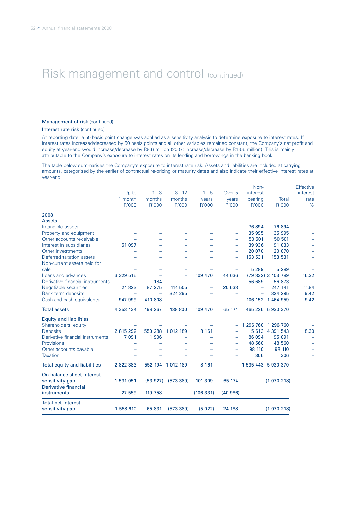### Management of risk (continued)

### Interest rate risk (continued)

At reporting date, a 50 basis point change was applied as a sensitivity analysis to determine exposure to interest rates. If interest rates increased/decreased by 50 basis points and all other variables remained constant, the Company's net profit and equity at year-end would increase/decrease by R8.6 million (2007: increase/decrease by R13.6 million). This is mainly attributable to the Company's exposure to interest rates on its lending and borrowings in the banking book.

The table below summarises the Company's exposure to interest rate risk. Assets and liabilities are included at carrying amounts, categorised by the earlier of contractual re-pricing or maturity dates and also indicate their effective interest rates at year-end:

|                                     |                          |                          |                          |          |                          | Non-                     |                     | <b>Effective</b> |
|-------------------------------------|--------------------------|--------------------------|--------------------------|----------|--------------------------|--------------------------|---------------------|------------------|
|                                     | Up to                    | $1 - 3$                  | $3 - 12$                 | $1 - 5$  | Over <sub>5</sub>        | interest                 |                     | interest         |
|                                     | 1 month                  | months                   | months                   | years    | years                    | bearing                  | Total               | rate             |
|                                     | R'000                    | R'000                    | R'000                    | R'000    | R'000                    | R'000                    | R'000               | %                |
| 2008                                |                          |                          |                          |          |                          |                          |                     |                  |
| <b>Assets</b>                       |                          |                          |                          |          |                          |                          |                     |                  |
| Intangible assets                   |                          |                          |                          |          |                          | 76 894                   | 76 894              |                  |
| Property and equipment              |                          |                          |                          |          | $\overline{\phantom{0}}$ | 35 995                   | 35 995              |                  |
| Other accounts receivable           |                          |                          |                          |          | $\overline{\phantom{0}}$ | 50 501                   | 50 501              |                  |
| Interest in subsidiaries            | 51 097                   |                          |                          |          | $\overline{\phantom{0}}$ | 39 936                   | 91 033              |                  |
| Other investments                   |                          |                          |                          |          | $\overline{\phantom{0}}$ | 20 070                   | 20 070              |                  |
| Deferred taxation assets            |                          |                          |                          |          | $\overline{\phantom{0}}$ | 153 531                  | 153 531             |                  |
| Non-current assets held for         |                          |                          |                          |          |                          |                          |                     |                  |
| sale                                |                          |                          |                          |          |                          | 5 2 8 9                  | 5 2 8 9             |                  |
| Loans and advances                  | 3 3 2 5 1 5              |                          |                          | 109 470  | 44 636                   |                          | (79 832) 3 403 789  | 15.32            |
| Derivative financial instruments    |                          | 184                      |                          | -        | $\overline{\phantom{0}}$ | 56 689                   | 56 873              |                  |
| Negotiable securities               | 24 8 23                  | 87 275                   | 114 505                  | -        | 20 538                   | $\overline{\phantom{0}}$ | 247 141             | 11.84            |
| Bank term deposits                  | $\overline{\phantom{0}}$ | $\overline{\phantom{0}}$ | 324 295                  |          | $\qquad \qquad$          |                          | 324 295             | 9.42             |
| Cash and cash equivalents           | 947 999                  | 410 808                  |                          |          | $\overline{\phantom{0}}$ |                          | 106 152 1 464 959   | 9.42             |
| <b>Total assets</b>                 | 4 3 5 3 4 3 4            | 498 267                  | 438 800                  | 109 470  | 65 174                   |                          | 465 225 5 930 370   |                  |
| <b>Equity and liabilities</b>       |                          |                          |                          |          |                          |                          |                     |                  |
| Shareholders' equity                |                          |                          |                          |          |                          | 1 296 760                | 1 296 760           |                  |
| <b>Deposits</b>                     | 2 815 292                | 550 288                  | 1 012 189                | 8 1 6 1  |                          | 5 6 1 3                  | 4 391 543           | 8.30             |
| Derivative financial instruments    | 7 0 9 1                  | 1906                     |                          |          | -                        | 86 094                   | 95 091              |                  |
| Provisions                          |                          |                          |                          |          | $\overline{\phantom{0}}$ | 48 560                   | 48 560              |                  |
| Other accounts payable              |                          |                          |                          |          | $\overline{\phantom{0}}$ | 98 110                   | 98 110              |                  |
| <b>Taxation</b>                     |                          |                          |                          |          | $\overline{\phantom{0}}$ | 306                      | 306                 |                  |
| <b>Total equity and liabilities</b> | 2 822 383                |                          | 552 194 1 012 189        | 8 1 6 1  | $\overline{\phantom{0}}$ |                          | 1 535 443 5 930 370 |                  |
| On balance sheet interest           |                          |                          |                          |          |                          |                          |                     |                  |
| sensitivity gap                     | 1 531 051                | (53927)                  | (573 389)                | 101 309  | 65 174                   |                          | $-$ (1 070 218)     |                  |
| Derivative financial                |                          |                          |                          |          |                          |                          |                     |                  |
| instruments                         | 27 559                   | 119 758                  | $\overline{\phantom{0}}$ | (106331) | (40986)                  |                          |                     |                  |
| <b>Total net interest</b>           |                          |                          |                          |          |                          |                          |                     |                  |
| sensitivity gap                     | 1558610                  | 65 831                   | (573 389)                | (5022)   | 24 188                   |                          | $-$ (1 070 218)     |                  |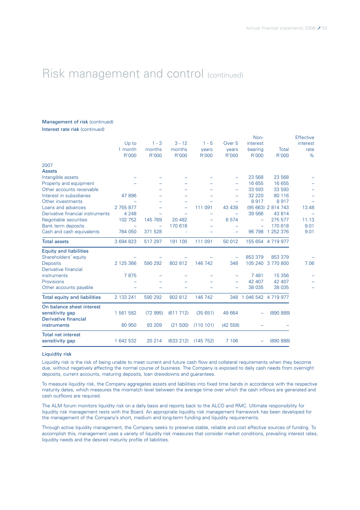### Management of risk (continued)

Interest rate risk (continued)

|                                     |                          |         |                          |          |                          | Non-                     |                    | <b>Effective</b> |
|-------------------------------------|--------------------------|---------|--------------------------|----------|--------------------------|--------------------------|--------------------|------------------|
|                                     | Up to                    | $1 - 3$ | $3 - 12$                 | $1 - 5$  | Over <sub>5</sub>        | interest                 |                    | interest         |
|                                     | 1 month                  | months  | months                   | years    | years                    | bearing                  | <b>Total</b>       | rate             |
|                                     | R'000                    | R'000   | R'000                    | R'000    | R'000                    | R'000                    | R'000              | $\%$             |
| 2007                                |                          |         |                          |          |                          |                          |                    |                  |
| <b>Assets</b>                       |                          |         |                          |          |                          |                          |                    |                  |
| Intangible assets                   |                          |         |                          |          |                          | 23 568                   | 23 568             |                  |
| Property and equipment              |                          |         |                          |          |                          | 16 655                   | 16 655             |                  |
| Other accounts receivable           |                          |         |                          |          | -                        | 33 593                   | 33 593             |                  |
| Interest in subsidiaries            | 47 896                   |         |                          |          | $\overline{\phantom{0}}$ | 32 2 2 0                 | 80 116             |                  |
| Other investments                   |                          |         |                          |          | $\overline{\phantom{0}}$ | 8917                     | 8917               |                  |
| Loans and advances                  | 2 755 877                |         | $\overline{\phantom{0}}$ | 111 091  | 43 4 38                  |                          | (95 663) 2 814 743 | 13.48            |
| Derivative financial instruments    | 4 2 4 8                  |         |                          |          |                          | 39 566                   | 43 814             |                  |
| Negotiable securities               | 102 752                  | 145 769 | 20 482                   | -        | 6574                     | $\overline{\phantom{0}}$ | 275 577            | 11.13            |
| Bank term deposits                  | $\overline{\phantom{0}}$ |         | 170 618                  |          |                          | $\overline{\phantom{0}}$ | 170 618            | 9.01             |
| Cash and cash equivalents           | 784 050                  | 371 528 |                          |          | -                        | 96 798                   | 1 252 376          | 9.01             |
| <b>Total assets</b>                 | 3 694 823                | 517 297 | 191 100                  | 111 091  | 50 012                   |                          | 155 654 4 719 977  |                  |
| <b>Equity and liabilities</b>       |                          |         |                          |          |                          |                          |                    |                  |
| Shareholders' equity                |                          |         |                          |          | $\overline{\phantom{0}}$ | 853 379                  | 853 379            |                  |
| <b>Deposits</b>                     | 2 125 366                | 590 292 | 802 812                  | 146 742  | 348                      |                          | 105 240 3 770 800  | 7.06             |
| Derivative financial                |                          |         |                          |          |                          |                          |                    |                  |
| instruments                         | 7875                     |         |                          |          |                          | 7 4 8 1                  | 15 3 5 6           |                  |
| Provisions                          |                          |         |                          |          | -                        | 42 407                   | 42 407             |                  |
| Other accounts payable              |                          |         |                          |          |                          | 38 035                   | 38 035             |                  |
| <b>Total equity and liabilities</b> | 2 133 241                | 590 292 | 802 812                  | 146 742  | 348                      | 1 046 542 4 719 977      |                    |                  |
| On balance sheet interest           |                          |         |                          |          |                          |                          |                    |                  |
| sensitivity gap                     | 1 561 582                | (72995) | (611712)                 | (35651)  | 49 6 64                  |                          | (890 888)          |                  |
| Derivative financial                |                          |         |                          |          |                          |                          |                    |                  |
| instruments                         | 80 950                   | 93 209  | (21 500)                 | (110101) | (42 558)                 |                          |                    |                  |
| <b>Total net interest</b>           |                          |         |                          |          |                          |                          |                    |                  |
| sensitivity gap                     | 1 642 532                | 20 214  | (633 212)                | (145752) | 7 10 6                   |                          | (890 888)          |                  |

### Liquidity risk

Liquidity risk is the risk of being unable to meet current and future cash flow and collateral requirements when they become due, without negatively affecting the normal course of business. The Company is exposed to daily cash needs from overnight deposits, current accounts, maturing deposits, loan drawdowns and guarantees.

To measure liquidity risk, the Company aggregates assets and liabilities into fixed time bands in accordance with the respective maturity dates, which measures the mismatch level between the average time over which the cash inflows are generated and cash outflows are required.

The ALM forum monitors liquidity risk on a daily basis and reports back to the ALCO and RMC. Ultimate responsibility for liquidity risk management rests with the Board. An appropriate liquidity risk management framework has been developed for the management of the Company's short, medium and long-term funding and liquidity requirements.

Through active liquidity management, the Company seeks to preserve stable, reliable and cost effective sources of funding. To accomplish this, management uses a variety of liquidity risk measures that consider market conditions, prevailing interest rates, liquidity needs and the desired maturity profile of liabilities.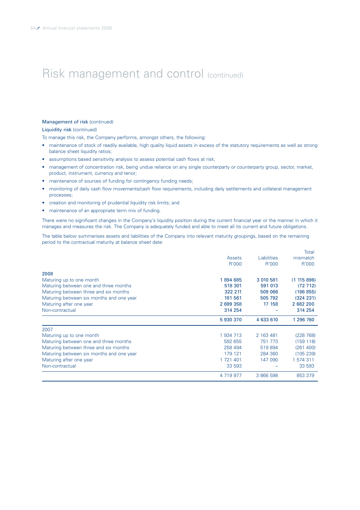### Management of risk (continued)

Liquidity risk (continued)

To manage this risk, the Company performs, amongst others, the following:

- maintenance of stock of readily available, high quality liquid assets in excess of the statutory requirements as well as strong balance sheet liquidity ratios;
- assumptions based sensitivity analysis to assess potential cash flows at risk;
- management of concentration risk, being undue reliance on any single counterparty or counterparty group, sector, market, product, instrument, currency and tenor;
- maintenance of sources of funding for contingency funding needs;
- monitoring of daily cash flow movements/cash flow requirements, including daily settlements and collateral management processes;
- creation and monitoring of prudential liquidity risk limits; and
- maintenance of an appropriate term mix of funding.

There were no significant changes in the Company's liquidity position during the current financial year or the manner in which it manages and measures the risk. The Company is adequately funded and able to meet all its current and future obligations.

The table below summarises assets and liabilities of the Company into relevant maturity groupings, based on the remaining period to the contractual maturity at balance sheet date:

|                                          |               |                    | Total     |
|------------------------------------------|---------------|--------------------|-----------|
|                                          | <b>Assets</b> | <b>Liabilities</b> | mismatch  |
|                                          | R'000         | R'000              | R'000     |
| 2008                                     |               |                    |           |
| Maturing up to one month                 | 1894685       | 3 010 581          | (1115896) |
| Maturing between one and three months    | 518 301       | 591 013            | (72712)   |
| Maturing between three and six months    | 322 211       | 509 066            | (186 855) |
| Maturing between six months and one year | 181 561       | 505 792            | (324 231) |
| Maturing after one year                  | 2 699 358     | 17 158             | 2 682 200 |
| Non-contractual                          | 314 254       |                    | 314 254   |
|                                          | 5930370       | 4 633 610          | 1 296 760 |
| 2007                                     |               |                    |           |
| Maturing up to one month                 | 1 934 713     | 2 163 481          | (228768)  |
| Maturing between one and three months    | 592 655       | 751 773            | (159118)  |
| Maturing between three and six months    | 258 494       | 519 894            | (261 400) |
|                                          |               |                    |           |
| Maturing between six months and one year | 179 121       | 284 360            | (105 239) |
| Maturing after one year                  | 1 721 401     | 147 090            | 1 574 311 |
| Non-contractual                          | 33 593        |                    | 33 593    |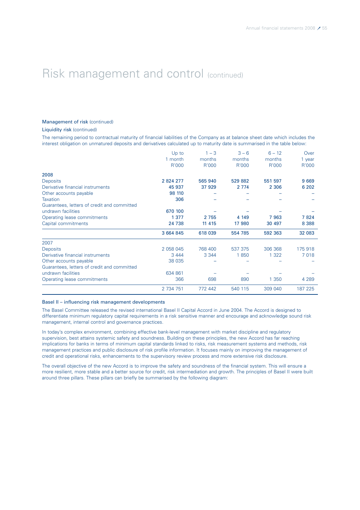### Management of risk (continued)

### Liquidity risk (continued)

The remaining period to contractual maturity of financial liabilities of the Company as at balance sheet date which includes the interest obligation on unmatured deposits and derivatives calculated up to maturity date is summarised in the table below:

|                                             | Up to     | $1 - 3$ | $3 - 6$ | $6 - 12$ | Over    |
|---------------------------------------------|-----------|---------|---------|----------|---------|
|                                             | 1 month   | months  | months  | months   | 1 year  |
|                                             | R'000     | R'000   | R'000   | R'000    | R'000   |
| 2008                                        |           |         |         |          |         |
| <b>Deposits</b>                             | 2 824 277 | 565 940 | 529 882 | 551 597  | 9 6 6 9 |
| Derivative financial instruments            | 45 937    | 37 929  | 2 7 7 4 | 2 3 0 6  | 6 20 2  |
| Other accounts payable                      | 98 110    |         |         |          |         |
| <b>Taxation</b>                             | 306       |         |         |          |         |
| Guarantees, letters of credit and committed |           |         |         |          |         |
| undrawn facilities                          | 670 100   |         |         |          |         |
| Operating lease commitments                 | 1 377     | 2755    | 4 149   | 7963     | 7824    |
| Capital commitments                         | 24 738    | 11 4 15 | 17 980  | 30 497   | 8 3 8 8 |
|                                             | 3 664 845 | 618 039 | 554 785 | 592 363  | 32 083  |
| 2007                                        |           |         |         |          |         |
| <b>Deposits</b>                             | 2 058 045 | 768 400 | 537 375 | 306 368  | 175 918 |
| Derivative financial instruments            | 3 4 4 4   | 3 3 4 4 | 1850    | 1 322    | 7018    |
| Other accounts payable                      | 38 035    |         |         |          |         |
| Guarantees, letters of credit and committed |           |         |         |          |         |
| undrawn facilities                          | 634 861   |         |         |          |         |
| Operating lease commitments                 | 366       | 698     | 890     | 1 350    | 4 2 8 9 |
|                                             | 2 734 751 | 772 442 | 540 115 | 309 040  | 187 225 |

#### Basel II – influencing risk management developments

The Basel Committee released the revised international Basel II Capital Accord in June 2004. The Accord is designed to differentiate minimum regulatory capital requirements in a risk sensitive manner and encourage and acknowledge sound risk management, internal control and governance practices.

In today's complex environment, combining effective bank-level management with market discipline and regulatory supervision, best attains systemic safety and soundness. Building on these principles, the new Accord has far reaching implications for banks in terms of minimum capital standards linked to risks, risk measurement systems and methods, risk management practices and public disclosure of risk profile information. It focuses mainly on improving the management of credit and operational risks, enhancements to the supervisory review process and more extensive risk disclosure.

The overall objective of the new Accord is to improve the safety and soundness of the financial system. This will ensure a more resilient, more stable and a better source for credit, risk intermediation and growth. The principles of Basel II were built around three pillars. These pillars can briefly be summarised by the following diagram: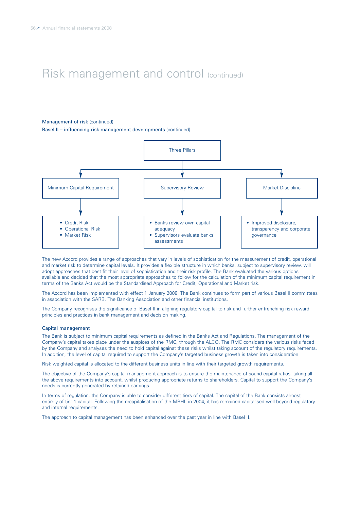### Management of risk (continued)

Basel II – influencing risk management developments (continued)



The new Accord provides a range of approaches that vary in levels of sophistication for the measurement of credit, operational and market risk to determine capital levels. It provides a flexible structure in which banks, subject to supervisory review, will adopt approaches that best fit their level of sophistication and their risk profile. The Bank evaluated the various options available and decided that the most appropriate approaches to follow for the calculation of the minimum capital requirement in terms of the Banks Act would be the Standardised Approach for Credit, Operational and Market risk.

The Accord has been implemented with effect 1 January 2008. The Bank continues to form part of various Basel II committees in association with the SARB, The Banking Association and other financial institutions.

The Company recognises the significance of Basel II in aligning regulatory capital to risk and further entrenching risk reward principles and practices in bank management and decision making.

### Capital management

The Bank is subject to minimum capital requirements as defined in the Banks Act and Regulations. The management of the Company's capital takes place under the auspices of the RMC, through the ALCO. The RMC considers the various risks faced by the Company and analyses the need to hold capital against these risks whilst taking account of the regulatory requirements. In addition, the level of capital required to support the Company's targeted business growth is taken into consideration.

Risk weighted capital is allocated to the different business units in line with their targeted growth requirements.

The objective of the Company's capital management approach is to ensure the maintenance of sound capital ratios, taking all the above requirements into account, whilst producing appropriate returns to shareholders. Capital to support the Company's needs is currently generated by retained earnings.

In terms of regulation, the Company is able to consider different tiers of capital. The capital of the Bank consists almost entirely of tier 1 capital. Following the recapitalisation of the MBHL in 2004, it has remained capitalised well beyond regulatory and internal requirements.

The approach to capital management has been enhanced over the past year in line with Basel II.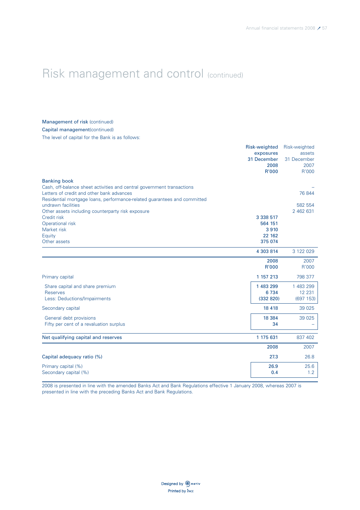### Management of risk (continued)

Capital management(continued)

The level of capital for the Bank is as follows:

|                                                                                                                                                                                                 | Risk-weighted<br>exposures<br>31 December<br>2008<br><b>R'000</b> | Risk-weighted<br>assets<br>31 December<br>2007<br>R'000 |
|-------------------------------------------------------------------------------------------------------------------------------------------------------------------------------------------------|-------------------------------------------------------------------|---------------------------------------------------------|
| <b>Banking book</b>                                                                                                                                                                             |                                                                   |                                                         |
| Cash, off-balance sheet activities and central government transactions<br>Letters of credit and other bank advances<br>Residential mortgage loans, performance-related guarantees and committed |                                                                   | 76 844                                                  |
| undrawn facilities<br>Other assets including counterparty risk exposure                                                                                                                         |                                                                   | 582 554<br>2 462 631                                    |
| Credit risk<br>Operational risk<br>Market risk<br>Equity<br>Other assets                                                                                                                        | 3 3 3 5 1 7<br>564 151<br>3910<br>22 162<br>375 074               |                                                         |
|                                                                                                                                                                                                 | 4 303 814                                                         | 3 122 029                                               |
|                                                                                                                                                                                                 | 2008<br><b>R'000</b>                                              | 2007<br>R'000                                           |
| Primary capital                                                                                                                                                                                 | 1 157 213                                                         | 798 377                                                 |
| Share capital and share premium<br>Reserves<br>Less: Deductions/Impairments                                                                                                                     | 1 483 299<br>6734<br>(332 820)                                    | 1 483 299<br>12 231<br>(697 153)                        |
| Secondary capital                                                                                                                                                                               | 18 4 18                                                           | 39 0 25                                                 |
| General debt provisions<br>Fifty per cent of a revaluation surplus                                                                                                                              | 18 3 84<br>34                                                     | 39 0 25                                                 |
| Net qualifying capital and reserves                                                                                                                                                             | 1 175 631                                                         | 837 402                                                 |
|                                                                                                                                                                                                 | 2008                                                              | 2007                                                    |
| Capital adequacy ratio (%)                                                                                                                                                                      | 27.3                                                              | 26.8                                                    |
| Primary capital (%)<br>Secondary capital (%)                                                                                                                                                    | 26.9<br>0.4                                                       | 25.6<br>1.2                                             |

2008 is presented in line with the amended Banks Act and Bank Regulations effective 1 January 2008, whereas 2007 is presented in line with the preceding Banks Act and Bank Regulations.